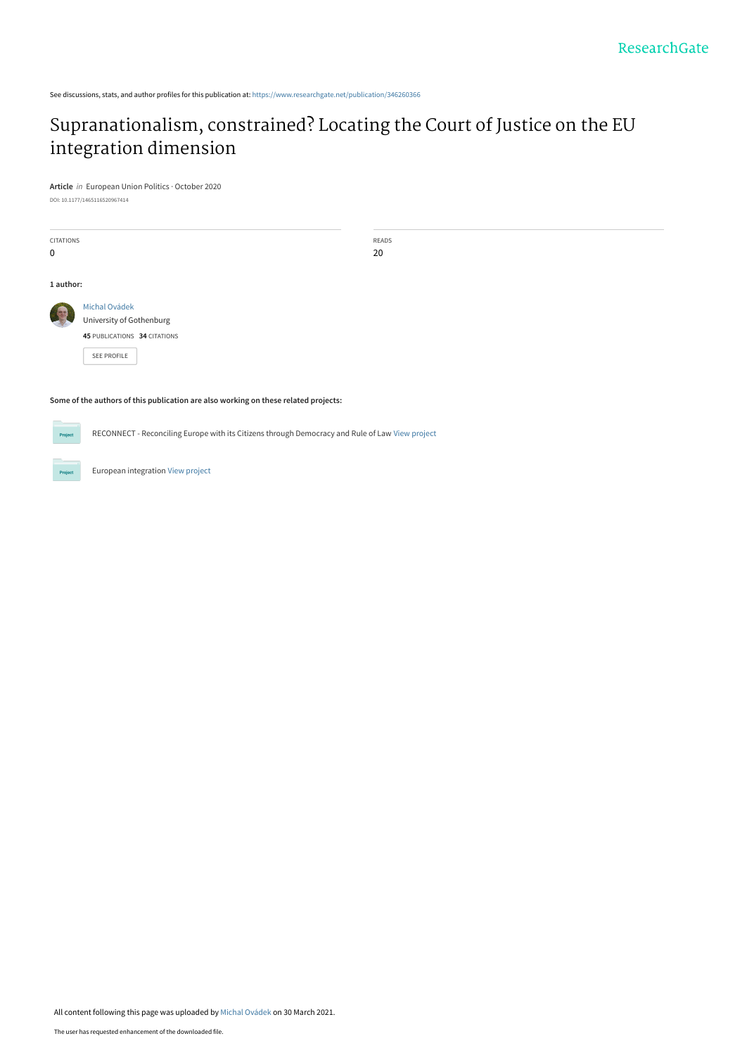See discussions, stats, and author profiles for this publication at: [https://www.researchgate.net/publication/346260366](https://www.researchgate.net/publication/346260366_Supranationalism_constrained_Locating_the_Court_of_Justice_on_the_EU_integration_dimension?enrichId=rgreq-1398a0d785ee0aaff7ab3c95612e4ff1-XXX&enrichSource=Y292ZXJQYWdlOzM0NjI2MDM2NjtBUzoxMDA3MDMyNjk4MTYzMjAxQDE2MTcxMDY3MTM2NTU%3D&el=1_x_2&_esc=publicationCoverPdf)

# [Supranationalism, constrained? Locating the Court of Justice on the EU](https://www.researchgate.net/publication/346260366_Supranationalism_constrained_Locating_the_Court_of_Justice_on_the_EU_integration_dimension?enrichId=rgreq-1398a0d785ee0aaff7ab3c95612e4ff1-XXX&enrichSource=Y292ZXJQYWdlOzM0NjI2MDM2NjtBUzoxMDA3MDMyNjk4MTYzMjAxQDE2MTcxMDY3MTM2NTU%3D&el=1_x_3&_esc=publicationCoverPdf) integration dimension

**Article** in European Union Politics · October 2020 DOI: 10.1177/1465116520967414

CITATIONS

0

READS 20

**1 author:**

[Michal Ovádek](https://www.researchgate.net/profile/Michal-Ovadek-2?enrichId=rgreq-1398a0d785ee0aaff7ab3c95612e4ff1-XXX&enrichSource=Y292ZXJQYWdlOzM0NjI2MDM2NjtBUzoxMDA3MDMyNjk4MTYzMjAxQDE2MTcxMDY3MTM2NTU%3D&el=1_x_5&_esc=publicationCoverPdf) [University of Gothenburg](https://www.researchgate.net/institution/University-of-Gothenburg?enrichId=rgreq-1398a0d785ee0aaff7ab3c95612e4ff1-XXX&enrichSource=Y292ZXJQYWdlOzM0NjI2MDM2NjtBUzoxMDA3MDMyNjk4MTYzMjAxQDE2MTcxMDY3MTM2NTU%3D&el=1_x_6&_esc=publicationCoverPdf)

 $Prc$ 

**45** PUBLICATIONS **34** CITATIONS

[SEE PROFILE](https://www.researchgate.net/profile/Michal-Ovadek-2?enrichId=rgreq-1398a0d785ee0aaff7ab3c95612e4ff1-XXX&enrichSource=Y292ZXJQYWdlOzM0NjI2MDM2NjtBUzoxMDA3MDMyNjk4MTYzMjAxQDE2MTcxMDY3MTM2NTU%3D&el=1_x_7&_esc=publicationCoverPdf)

**Some of the authors of this publication are also working on these related projects:**

RECONNECT - Reconciling Europe with its Citizens through Democracy and Rule of Law [View project](https://www.researchgate.net/project/RECONNECT-Reconciling-Europe-with-its-Citizens-through-Democracy-and-Rule-of-Law?enrichId=rgreq-1398a0d785ee0aaff7ab3c95612e4ff1-XXX&enrichSource=Y292ZXJQYWdlOzM0NjI2MDM2NjtBUzoxMDA3MDMyNjk4MTYzMjAxQDE2MTcxMDY3MTM2NTU%3D&el=1_x_9&_esc=publicationCoverPdf)

European integration [View project](https://www.researchgate.net/project/European-integration-4?enrichId=rgreq-1398a0d785ee0aaff7ab3c95612e4ff1-XXX&enrichSource=Y292ZXJQYWdlOzM0NjI2MDM2NjtBUzoxMDA3MDMyNjk4MTYzMjAxQDE2MTcxMDY3MTM2NTU%3D&el=1_x_9&_esc=publicationCoverPdf)

All content following this page was uploaded by [Michal Ovádek](https://www.researchgate.net/profile/Michal-Ovadek-2?enrichId=rgreq-1398a0d785ee0aaff7ab3c95612e4ff1-XXX&enrichSource=Y292ZXJQYWdlOzM0NjI2MDM2NjtBUzoxMDA3MDMyNjk4MTYzMjAxQDE2MTcxMDY3MTM2NTU%3D&el=1_x_10&_esc=publicationCoverPdf) on 30 March 2021.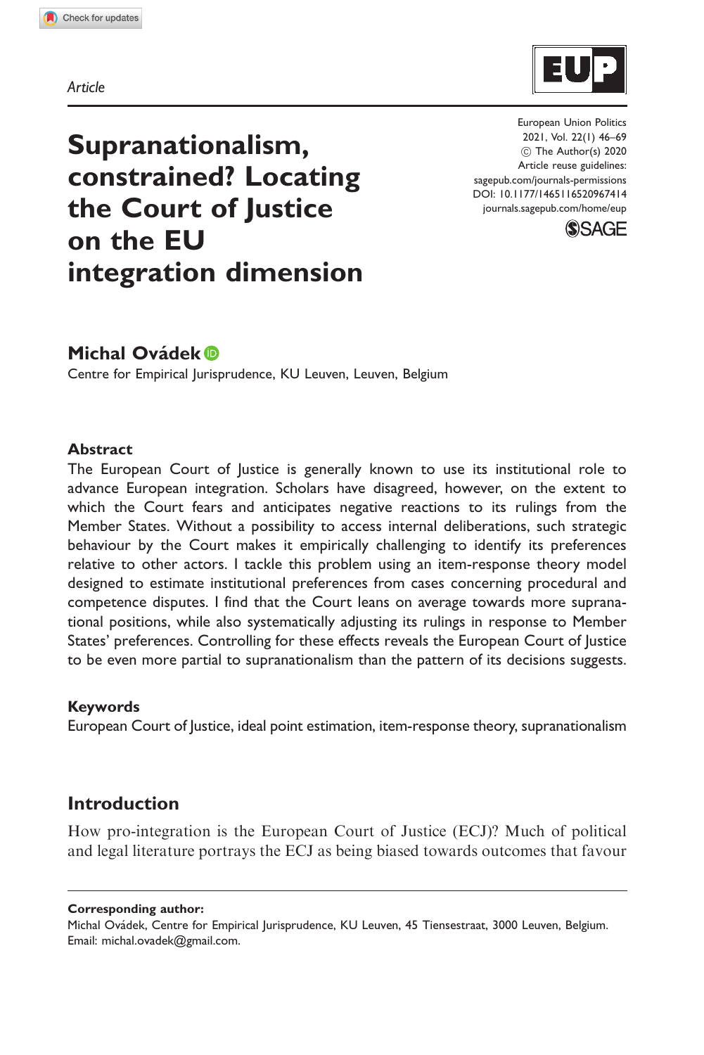Article



Supranationalism, constrained? Locating the Court of Justice on the EU integration dimension

European Union Politics 2021, Vol. 22(1) 46–69 (C) The Author(s) 2020 Article reuse guidelines: [sagepub.com/journals-permissions](http://uk.sagepub.com/en-gb/journals-permissions) [DOI: 10.1177/1465116520967414](http://dx.doi.org/10.1177/1465116520967414) <journals.sagepub.com/home/eup>



# Michal Ovádek ®

Centre for Empirical Jurisprudence, KU Leuven, Leuven, Belgium

### **Abstract**

The European Court of Justice is generally known to use its institutional role to advance European integration. Scholars have disagreed, however, on the extent to which the Court fears and anticipates negative reactions to its rulings from the Member States. Without a possibility to access internal deliberations, such strategic behaviour by the Court makes it empirically challenging to identify its preferences relative to other actors. I tackle this problem using an item-response theory model designed to estimate institutional preferences from cases concerning procedural and competence disputes. I find that the Court leans on average towards more supranational positions, while also systematically adjusting its rulings in response to Member States' preferences. Controlling for these effects reveals the European Court of Justice to be even more partial to supranationalism than the pattern of its decisions suggests.

### Keywords

European Court of Justice, ideal point estimation, item-response theory, supranationalism

# Introduction

How pro-integration is the European Court of Justice (ECJ)? Much of political and legal literature portrays the ECJ as being biased towards outcomes that favour

Corresponding author:

Michal Ova´dek, Centre for Empirical Jurisprudence, KU Leuven, 45 Tiensestraat, 3000 Leuven, Belgium. Email: [michal.ovadek@gmail.com](mailto:michal.ovadek@gmail.com).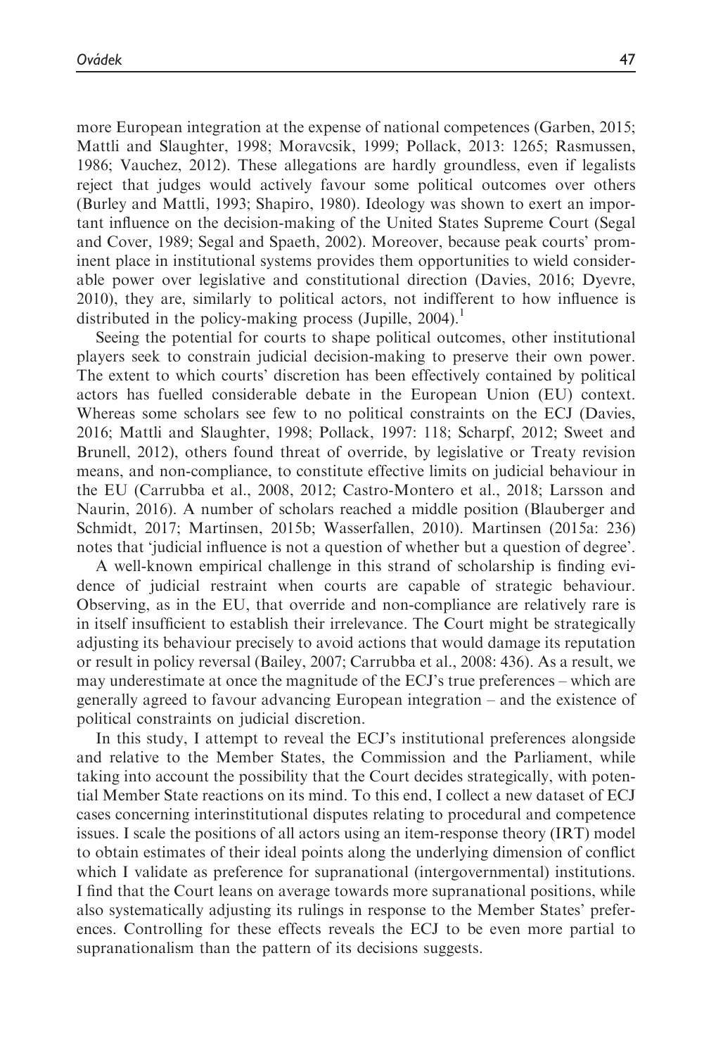more European integration at the expense of national competences (Garben, 2015; Mattli and Slaughter, 1998; Moravcsik, 1999; Pollack, 2013: 1265; Rasmussen, 1986; Vauchez, 2012). These allegations are hardly groundless, even if legalists reject that judges would actively favour some political outcomes over others (Burley and Mattli, 1993; Shapiro, 1980). Ideology was shown to exert an important influence on the decision-making of the United States Supreme Court (Segal and Cover, 1989; Segal and Spaeth, 2002). Moreover, because peak courts' prominent place in institutional systems provides them opportunities to wield considerable power over legislative and constitutional direction (Davies, 2016; Dyevre, 2010), they are, similarly to political actors, not indifferent to how influence is distributed in the policy-making process (Jupille,  $2004$ ).<sup>1</sup>

Seeing the potential for courts to shape political outcomes, other institutional players seek to constrain judicial decision-making to preserve their own power. The extent to which courts' discretion has been effectively contained by political actors has fuelled considerable debate in the European Union (EU) context. Whereas some scholars see few to no political constraints on the ECJ (Davies, 2016; Mattli and Slaughter, 1998; Pollack, 1997: 118; Scharpf, 2012; Sweet and Brunell, 2012), others found threat of override, by legislative or Treaty revision means, and non-compliance, to constitute effective limits on judicial behaviour in the EU (Carrubba et al., 2008, 2012; Castro-Montero et al., 2018; Larsson and Naurin, 2016). A number of scholars reached a middle position (Blauberger and Schmidt, 2017; Martinsen, 2015b; Wasserfallen, 2010). Martinsen (2015a: 236) notes that 'judicial influence is not a question of whether but a question of degree'.

A well-known empirical challenge in this strand of scholarship is finding evidence of judicial restraint when courts are capable of strategic behaviour. Observing, as in the EU, that override and non-compliance are relatively rare is in itself insufficient to establish their irrelevance. The Court might be strategically adjusting its behaviour precisely to avoid actions that would damage its reputation or result in policy reversal (Bailey, 2007; Carrubba et al., 2008: 436). As a result, we may underestimate at once the magnitude of the ECJ's true preferences – which are generally agreed to favour advancing European integration – and the existence of political constraints on judicial discretion.

In this study, I attempt to reveal the ECJ's institutional preferences alongside and relative to the Member States, the Commission and the Parliament, while taking into account the possibility that the Court decides strategically, with potential Member State reactions on its mind. To this end, I collect a new dataset of ECJ cases concerning interinstitutional disputes relating to procedural and competence issues. I scale the positions of all actors using an item-response theory (IRT) model to obtain estimates of their ideal points along the underlying dimension of conflict which I validate as preference for supranational (intergovernmental) institutions. I find that the Court leans on average towards more supranational positions, while also systematically adjusting its rulings in response to the Member States' preferences. Controlling for these effects reveals the ECJ to be even more partial to supranationalism than the pattern of its decisions suggests.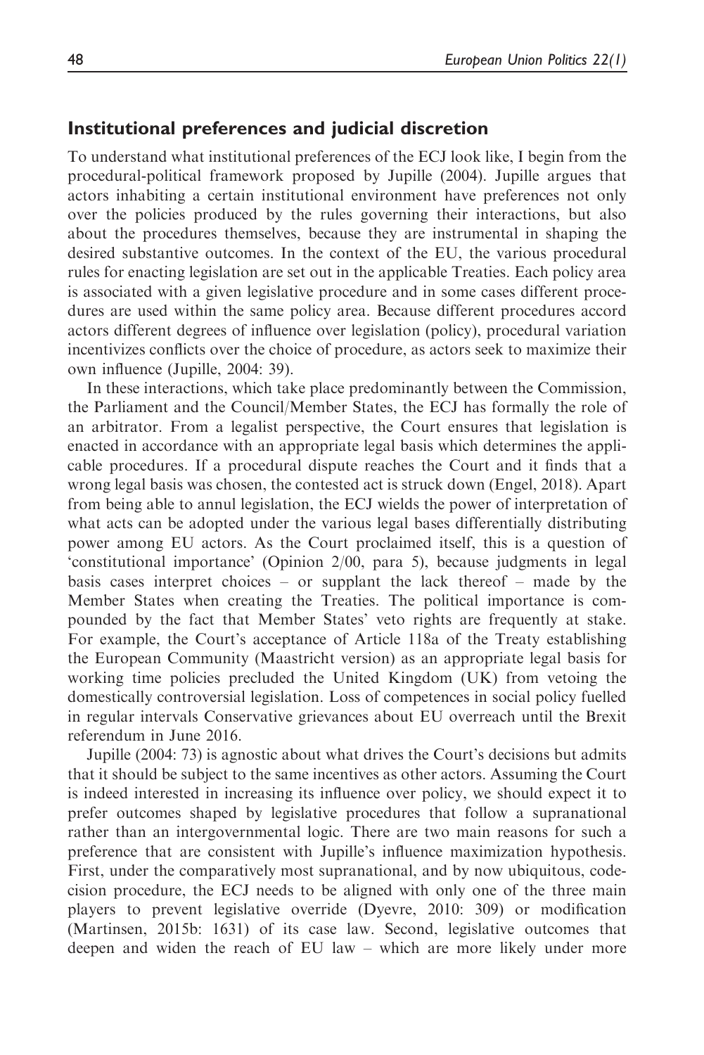### Institutional preferences and judicial discretion

To understand what institutional preferences of the ECJ look like, I begin from the procedural-political framework proposed by Jupille (2004). Jupille argues that actors inhabiting a certain institutional environment have preferences not only over the policies produced by the rules governing their interactions, but also about the procedures themselves, because they are instrumental in shaping the desired substantive outcomes. In the context of the EU, the various procedural rules for enacting legislation are set out in the applicable Treaties. Each policy area is associated with a given legislative procedure and in some cases different procedures are used within the same policy area. Because different procedures accord actors different degrees of influence over legislation (policy), procedural variation incentivizes conflicts over the choice of procedure, as actors seek to maximize their own influence (Jupille, 2004: 39).

In these interactions, which take place predominantly between the Commission, the Parliament and the Council/Member States, the ECJ has formally the role of an arbitrator. From a legalist perspective, the Court ensures that legislation is enacted in accordance with an appropriate legal basis which determines the applicable procedures. If a procedural dispute reaches the Court and it finds that a wrong legal basis was chosen, the contested act is struck down (Engel, 2018). Apart from being able to annul legislation, the ECJ wields the power of interpretation of what acts can be adopted under the various legal bases differentially distributing power among EU actors. As the Court proclaimed itself, this is a question of 'constitutional importance' (Opinion 2/00, para 5), because judgments in legal basis cases interpret choices – or supplant the lack thereof – made by the Member States when creating the Treaties. The political importance is compounded by the fact that Member States' veto rights are frequently at stake. For example, the Court's acceptance of Article 118a of the Treaty establishing the European Community (Maastricht version) as an appropriate legal basis for working time policies precluded the United Kingdom (UK) from vetoing the domestically controversial legislation. Loss of competences in social policy fuelled in regular intervals Conservative grievances about EU overreach until the Brexit referendum in June 2016.

Jupille (2004: 73) is agnostic about what drives the Court's decisions but admits that it should be subject to the same incentives as other actors. Assuming the Court is indeed interested in increasing its influence over policy, we should expect it to prefer outcomes shaped by legislative procedures that follow a supranational rather than an intergovernmental logic. There are two main reasons for such a preference that are consistent with Jupille's influence maximization hypothesis. First, under the comparatively most supranational, and by now ubiquitous, codecision procedure, the ECJ needs to be aligned with only one of the three main players to prevent legislative override (Dyevre, 2010: 309) or modification (Martinsen, 2015b: 1631) of its case law. Second, legislative outcomes that deepen and widen the reach of EU law – which are more likely under more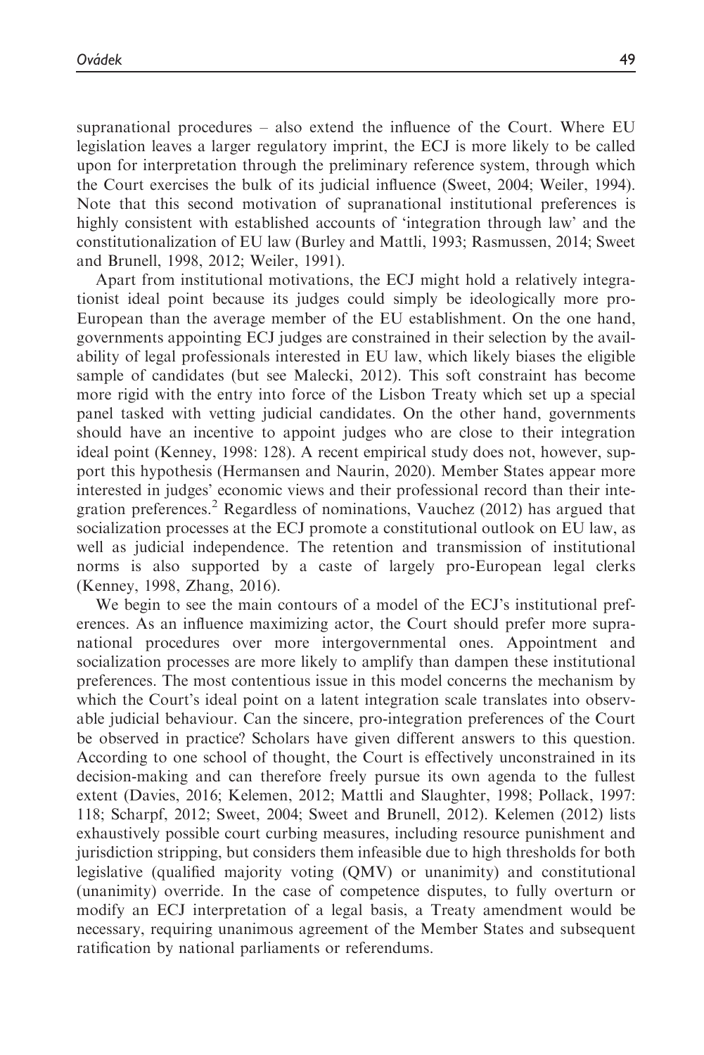supranational procedures  $-$  also extend the influence of the Court. Where EU legislation leaves a larger regulatory imprint, the ECJ is more likely to be called upon for interpretation through the preliminary reference system, through which the Court exercises the bulk of its judicial influence (Sweet, 2004; Weiler, 1994). Note that this second motivation of supranational institutional preferences is highly consistent with established accounts of 'integration through law' and the constitutionalization of EU law (Burley and Mattli, 1993; Rasmussen, 2014; Sweet and Brunell, 1998, 2012; Weiler, 1991).

Apart from institutional motivations, the ECJ might hold a relatively integrationist ideal point because its judges could simply be ideologically more pro-European than the average member of the EU establishment. On the one hand, governments appointing ECJ judges are constrained in their selection by the availability of legal professionals interested in EU law, which likely biases the eligible sample of candidates (but see Malecki, 2012). This soft constraint has become more rigid with the entry into force of the Lisbon Treaty which set up a special panel tasked with vetting judicial candidates. On the other hand, governments should have an incentive to appoint judges who are close to their integration ideal point (Kenney, 1998: 128). A recent empirical study does not, however, support this hypothesis (Hermansen and Naurin, 2020). Member States appear more interested in judges' economic views and their professional record than their integration preferences.<sup>2</sup> Regardless of nominations, Vauchez (2012) has argued that socialization processes at the ECJ promote a constitutional outlook on EU law, as well as judicial independence. The retention and transmission of institutional norms is also supported by a caste of largely pro-European legal clerks (Kenney, 1998, Zhang, 2016).

We begin to see the main contours of a model of the ECJ's institutional preferences. As an influence maximizing actor, the Court should prefer more supranational procedures over more intergovernmental ones. Appointment and socialization processes are more likely to amplify than dampen these institutional preferences. The most contentious issue in this model concerns the mechanism by which the Court's ideal point on a latent integration scale translates into observable judicial behaviour. Can the sincere, pro-integration preferences of the Court be observed in practice? Scholars have given different answers to this question. According to one school of thought, the Court is effectively unconstrained in its decision-making and can therefore freely pursue its own agenda to the fullest extent (Davies, 2016; Kelemen, 2012; Mattli and Slaughter, 1998; Pollack, 1997: 118; Scharpf, 2012; Sweet, 2004; Sweet and Brunell, 2012). Kelemen (2012) lists exhaustively possible court curbing measures, including resource punishment and jurisdiction stripping, but considers them infeasible due to high thresholds for both legislative (qualified majority voting (QMV) or unanimity) and constitutional (unanimity) override. In the case of competence disputes, to fully overturn or modify an ECJ interpretation of a legal basis, a Treaty amendment would be necessary, requiring unanimous agreement of the Member States and subsequent ratification by national parliaments or referendums.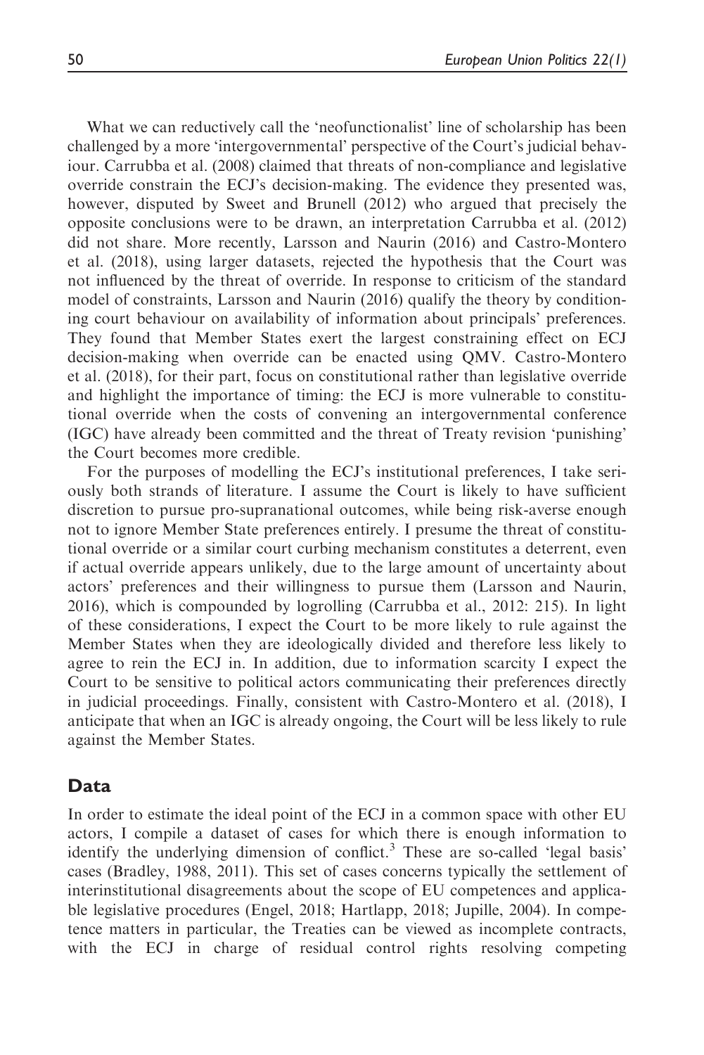What we can reductively call the 'neofunctionalist' line of scholarship has been challenged by a more 'intergovernmental' perspective of the Court's judicial behaviour. Carrubba et al. (2008) claimed that threats of non-compliance and legislative override constrain the ECJ's decision-making. The evidence they presented was, however, disputed by Sweet and Brunell (2012) who argued that precisely the opposite conclusions were to be drawn, an interpretation Carrubba et al. (2012) did not share. More recently, Larsson and Naurin (2016) and Castro-Montero et al. (2018), using larger datasets, rejected the hypothesis that the Court was not influenced by the threat of override. In response to criticism of the standard model of constraints, Larsson and Naurin (2016) qualify the theory by conditioning court behaviour on availability of information about principals' preferences. They found that Member States exert the largest constraining effect on ECJ decision-making when override can be enacted using QMV. Castro-Montero et al. (2018), for their part, focus on constitutional rather than legislative override and highlight the importance of timing: the ECJ is more vulnerable to constitutional override when the costs of convening an intergovernmental conference (IGC) have already been committed and the threat of Treaty revision 'punishing' the Court becomes more credible.

For the purposes of modelling the ECJ's institutional preferences, I take seriously both strands of literature. I assume the Court is likely to have sufficient discretion to pursue pro-supranational outcomes, while being risk-averse enough not to ignore Member State preferences entirely. I presume the threat of constitutional override or a similar court curbing mechanism constitutes a deterrent, even if actual override appears unlikely, due to the large amount of uncertainty about actors' preferences and their willingness to pursue them (Larsson and Naurin, 2016), which is compounded by logrolling (Carrubba et al., 2012: 215). In light of these considerations, I expect the Court to be more likely to rule against the Member States when they are ideologically divided and therefore less likely to agree to rein the ECJ in. In addition, due to information scarcity I expect the Court to be sensitive to political actors communicating their preferences directly in judicial proceedings. Finally, consistent with Castro-Montero et al. (2018), I anticipate that when an IGC is already ongoing, the Court will be less likely to rule against the Member States.

## Data

In order to estimate the ideal point of the ECJ in a common space with other EU actors, I compile a dataset of cases for which there is enough information to identify the underlying dimension of conflict.<sup>3</sup> These are so-called 'legal basis' cases (Bradley, 1988, 2011). This set of cases concerns typically the settlement of interinstitutional disagreements about the scope of EU competences and applicable legislative procedures (Engel, 2018; Hartlapp, 2018; Jupille, 2004). In competence matters in particular, the Treaties can be viewed as incomplete contracts, with the ECJ in charge of residual control rights resolving competing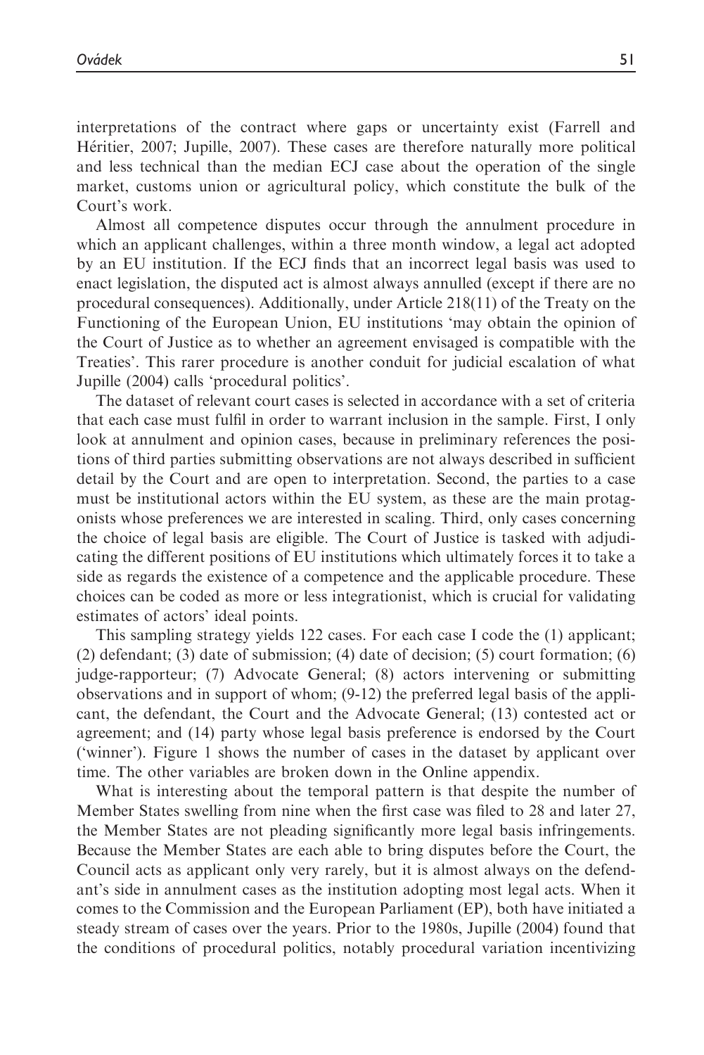interpretations of the contract where gaps or uncertainty exist (Farrell and Heritier, 2007; Jupille, 2007). These cases are therefore naturally more political and less technical than the median ECJ case about the operation of the single market, customs union or agricultural policy, which constitute the bulk of the Court's work.

Almost all competence disputes occur through the annulment procedure in which an applicant challenges, within a three month window, a legal act adopted by an EU institution. If the ECJ finds that an incorrect legal basis was used to enact legislation, the disputed act is almost always annulled (except if there are no procedural consequences). Additionally, under Article 218(11) of the Treaty on the Functioning of the European Union, EU institutions 'may obtain the opinion of the Court of Justice as to whether an agreement envisaged is compatible with the Treaties'. This rarer procedure is another conduit for judicial escalation of what Jupille (2004) calls 'procedural politics'.

The dataset of relevant court cases is selected in accordance with a set of criteria that each case must fulfil in order to warrant inclusion in the sample. First, I only look at annulment and opinion cases, because in preliminary references the positions of third parties submitting observations are not always described in sufficient detail by the Court and are open to interpretation. Second, the parties to a case must be institutional actors within the EU system, as these are the main protagonists whose preferences we are interested in scaling. Third, only cases concerning the choice of legal basis are eligible. The Court of Justice is tasked with adjudicating the different positions of EU institutions which ultimately forces it to take a side as regards the existence of a competence and the applicable procedure. These choices can be coded as more or less integrationist, which is crucial for validating estimates of actors' ideal points.

This sampling strategy yields 122 cases. For each case I code the (1) applicant; (2) defendant; (3) date of submission; (4) date of decision; (5) court formation; (6) judge-rapporteur; (7) Advocate General; (8) actors intervening or submitting observations and in support of whom; (9-12) the preferred legal basis of the applicant, the defendant, the Court and the Advocate General; (13) contested act or agreement; and (14) party whose legal basis preference is endorsed by the Court ('winner'). Figure 1 shows the number of cases in the dataset by applicant over time. The other variables are broken down in the Online appendix.

What is interesting about the temporal pattern is that despite the number of Member States swelling from nine when the first case was filed to 28 and later 27, the Member States are not pleading significantly more legal basis infringements. Because the Member States are each able to bring disputes before the Court, the Council acts as applicant only very rarely, but it is almost always on the defendant's side in annulment cases as the institution adopting most legal acts. When it comes to the Commission and the European Parliament (EP), both have initiated a steady stream of cases over the years. Prior to the 1980s, Jupille (2004) found that the conditions of procedural politics, notably procedural variation incentivizing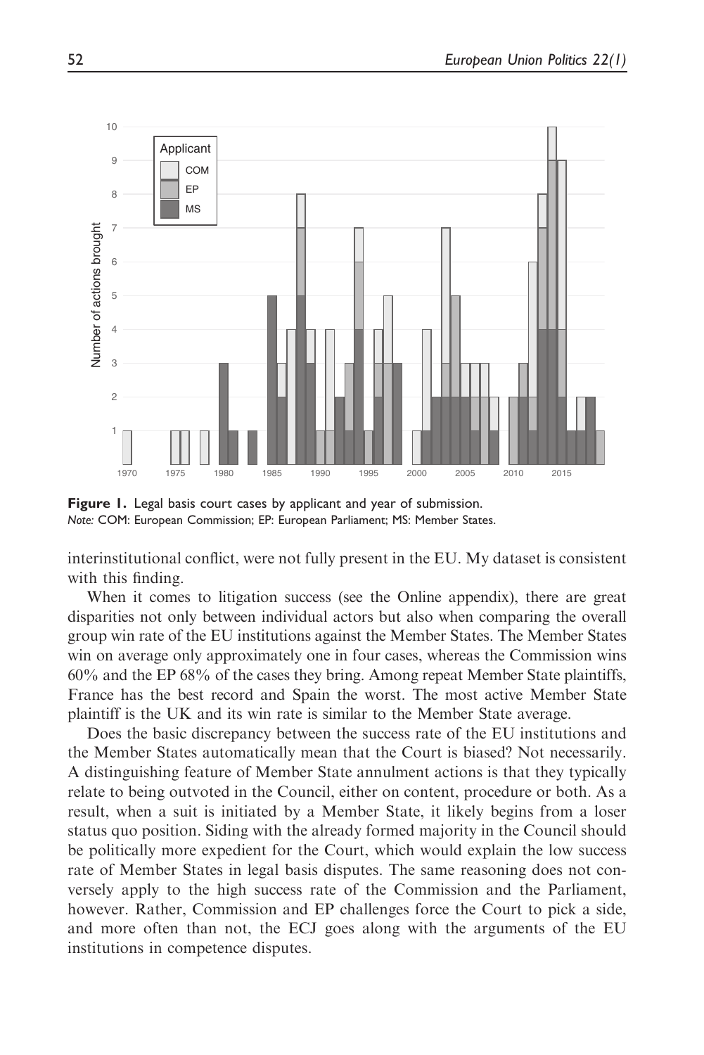

Figure 1. Legal basis court cases by applicant and year of submission. Note: COM: European Commission; EP: European Parliament; MS: Member States.

interinstitutional conflict, were not fully present in the EU. My dataset is consistent with this finding.

When it comes to litigation success (see the Online appendix), there are great disparities not only between individual actors but also when comparing the overall group win rate of the EU institutions against the Member States. The Member States win on average only approximately one in four cases, whereas the Commission wins 60% and the EP 68% of the cases they bring. Among repeat Member State plaintiffs, France has the best record and Spain the worst. The most active Member State plaintiff is the UK and its win rate is similar to the Member State average.

Does the basic discrepancy between the success rate of the EU institutions and the Member States automatically mean that the Court is biased? Not necessarily. A distinguishing feature of Member State annulment actions is that they typically relate to being outvoted in the Council, either on content, procedure or both. As a result, when a suit is initiated by a Member State, it likely begins from a loser status quo position. Siding with the already formed majority in the Council should be politically more expedient for the Court, which would explain the low success rate of Member States in legal basis disputes. The same reasoning does not conversely apply to the high success rate of the Commission and the Parliament, however. Rather, Commission and EP challenges force the Court to pick a side, and more often than not, the ECJ goes along with the arguments of the EU institutions in competence disputes.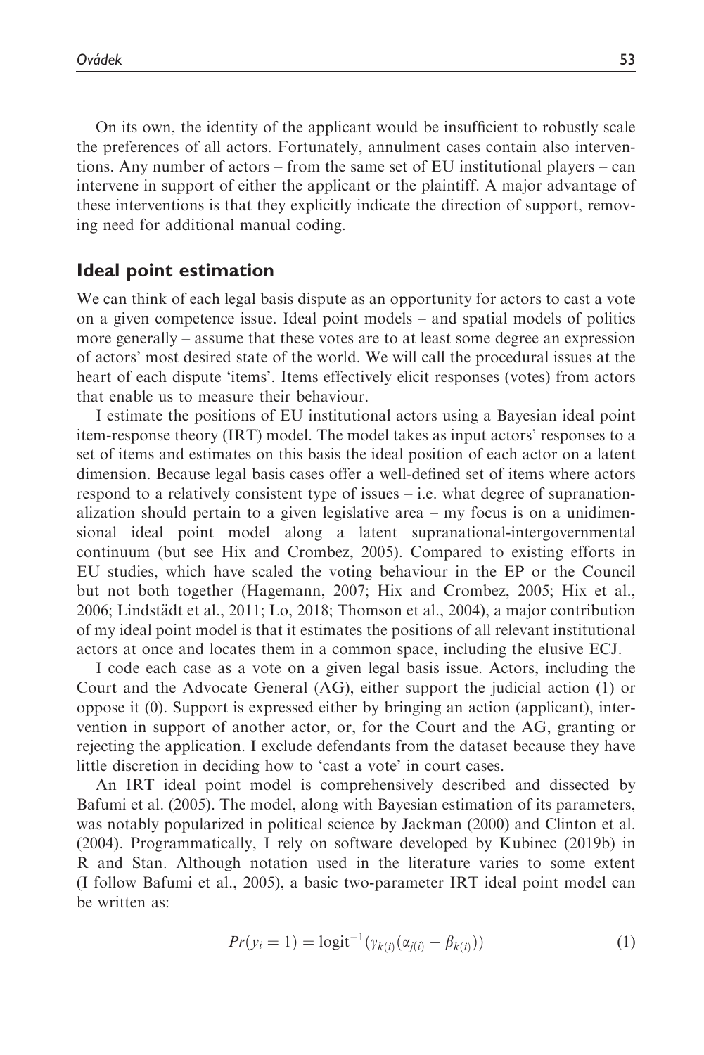On its own, the identity of the applicant would be insufficient to robustly scale the preferences of all actors. Fortunately, annulment cases contain also interventions. Any number of actors – from the same set of EU institutional players – can intervene in support of either the applicant or the plaintiff. A major advantage of these interventions is that they explicitly indicate the direction of support, removing need for additional manual coding.

## Ideal point estimation

We can think of each legal basis dispute as an opportunity for actors to cast a vote on a given competence issue. Ideal point models – and spatial models of politics more generally – assume that these votes are to at least some degree an expression of actors' most desired state of the world. We will call the procedural issues at the heart of each dispute 'items'. Items effectively elicit responses (votes) from actors that enable us to measure their behaviour.

I estimate the positions of EU institutional actors using a Bayesian ideal point item-response theory (IRT) model. The model takes as input actors' responses to a set of items and estimates on this basis the ideal position of each actor on a latent dimension. Because legal basis cases offer a well-defined set of items where actors respond to a relatively consistent type of issues  $-$  i.e. what degree of supranationalization should pertain to a given legislative area – my focus is on a unidimensional ideal point model along a latent supranational-intergovernmental continuum (but see Hix and Crombez, 2005). Compared to existing efforts in EU studies, which have scaled the voting behaviour in the EP or the Council but not both together (Hagemann, 2007; Hix and Crombez, 2005; Hix et al., 2006; Lindst€adt et al., 2011; Lo, 2018; Thomson et al., 2004), a major contribution of my ideal point model is that it estimates the positions of all relevant institutional actors at once and locates them in a common space, including the elusive ECJ.

I code each case as a vote on a given legal basis issue. Actors, including the Court and the Advocate General (AG), either support the judicial action (1) or oppose it (0). Support is expressed either by bringing an action (applicant), intervention in support of another actor, or, for the Court and the AG, granting or rejecting the application. I exclude defendants from the dataset because they have little discretion in deciding how to 'cast a vote' in court cases.

An IRT ideal point model is comprehensively described and dissected by Bafumi et al. (2005). The model, along with Bayesian estimation of its parameters, was notably popularized in political science by Jackman (2000) and Clinton et al. (2004). Programmatically, I rely on software developed by Kubinec (2019b) in R and Stan. Although notation used in the literature varies to some extent (I follow Bafumi et al., 2005), a basic two-parameter IRT ideal point model can be written as:

$$
Pr(y_i = 1) = \text{logit}^{-1}(\gamma_{k(i)}(\alpha_{j(i)} - \beta_{k(i)}))
$$
\n(1)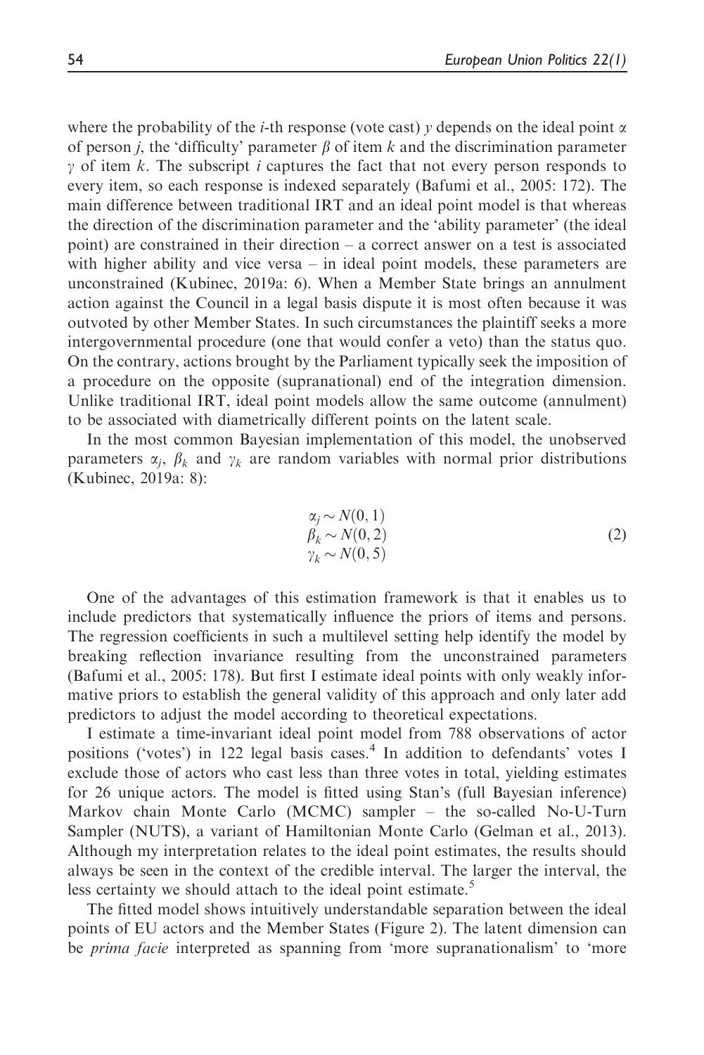where the probability of the *i*-th response (vote cast)  $\nu$  depends on the ideal point  $\alpha$ of person *i*, the 'difficulty' parameter  $\beta$  of item k and the discrimination parameter  $\gamma$  of item k. The subscript i captures the fact that not every person responds to every item, so each response is indexed separately (Bafumi et al., 2005: 172). The main difference between traditional IRT and an ideal point model is that whereas the direction of the discrimination parameter and the 'ability parameter' (the ideal point) are constrained in their direction – a correct answer on a test is associated with higher ability and vice versa – in ideal point models, these parameters are unconstrained (Kubinec, 2019a: 6). When a Member State brings an annulment action against the Council in a legal basis dispute it is most often because it was outvoted by other Member States. In such circumstances the plaintiff seeks a more intergovernmental procedure (one that would confer a veto) than the status quo. On the contrary, actions brought by the Parliament typically seek the imposition of a procedure on the opposite (supranational) end of the integration dimension. Unlike traditional IRT, ideal point models allow the same outcome (annulment) to be associated with diametrically different points on the latent scale.

In the most common Bayesian implementation of this model, the unobserved parameters  $\alpha_i$ ,  $\beta_k$  and  $\gamma_k$  are random variables with normal prior distributions (Kubinec, 2019a: 8):

$$
\alpha_j \sim N(0, 1) \n\beta_k \sim N(0, 2) \n\gamma_k \sim N(0, 5)
$$
\n(2)

One of the advantages of this estimation framework is that it enables us to include predictors that systematically influence the priors of items and persons. The regression coefficients in such a multilevel setting help identify the model by breaking reflection invariance resulting from the unconstrained parameters (Bafumi et al., 2005: 178). But first I estimate ideal points with only weakly informative priors to establish the general validity of this approach and only later add predictors to adjust the model according to theoretical expectations.

I estimate a time-invariant ideal point model from 788 observations of actor positions ('votes') in 122 legal basis cases.<sup>4</sup> In addition to defendants' votes I exclude those of actors who cast less than three votes in total, yielding estimates for 26 unique actors. The model is fitted using Stan's (full Bayesian inference) Markov chain Monte Carlo (MCMC) sampler – the so-called No-U-Turn Sampler (NUTS), a variant of Hamiltonian Monte Carlo (Gelman et al., 2013). Although my interpretation relates to the ideal point estimates, the results should always be seen in the context of the credible interval. The larger the interval, the less certainty we should attach to the ideal point estimate.<sup>5</sup>

The fitted model shows intuitively understandable separation between the ideal points of EU actors and the Member States (Figure 2). The latent dimension can be *prima facie* interpreted as spanning from 'more supranationalism' to 'more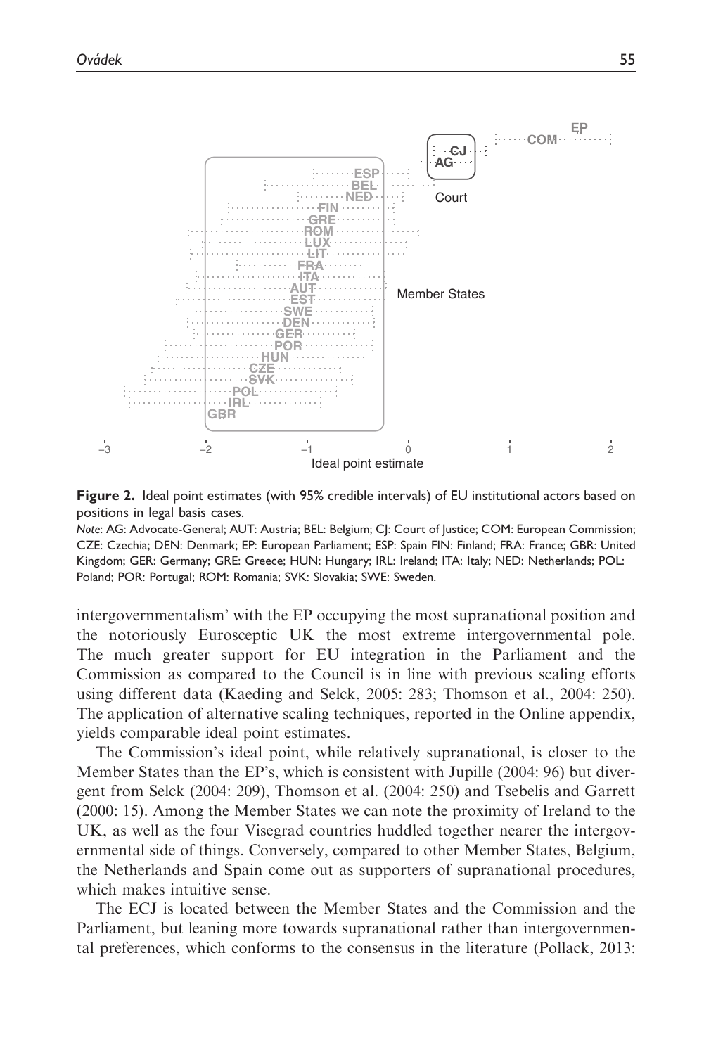

Figure 2. Ideal point estimates (with 95% credible intervals) of EU institutional actors based on positions in legal basis cases.

Note: AG: Advocate-General; AUT: Austria; BEL: Belgium; CJ: Court of Justice; COM: European Commission; CZE: Czechia; DEN: Denmark; EP: European Parliament; ESP: Spain FIN: Finland; FRA: France; GBR: United Kingdom; GER: Germany; GRE: Greece; HUN: Hungary; IRL: Ireland; ITA: Italy; NED: Netherlands; POL: Poland; POR: Portugal; ROM: Romania; SVK: Slovakia; SWE: Sweden.

intergovernmentalism' with the EP occupying the most supranational position and the notoriously Eurosceptic UK the most extreme intergovernmental pole. The much greater support for EU integration in the Parliament and the Commission as compared to the Council is in line with previous scaling efforts using different data (Kaeding and Selck, 2005: 283; Thomson et al., 2004: 250). The application of alternative scaling techniques, reported in the Online appendix, yields comparable ideal point estimates.

The Commission's ideal point, while relatively supranational, is closer to the Member States than the EP's, which is consistent with Jupille (2004: 96) but divergent from Selck (2004: 209), Thomson et al. (2004: 250) and Tsebelis and Garrett (2000: 15). Among the Member States we can note the proximity of Ireland to the UK, as well as the four Visegrad countries huddled together nearer the intergovernmental side of things. Conversely, compared to other Member States, Belgium, the Netherlands and Spain come out as supporters of supranational procedures, which makes intuitive sense.

The ECJ is located between the Member States and the Commission and the Parliament, but leaning more towards supranational rather than intergovernmental preferences, which conforms to the consensus in the literature (Pollack, 2013: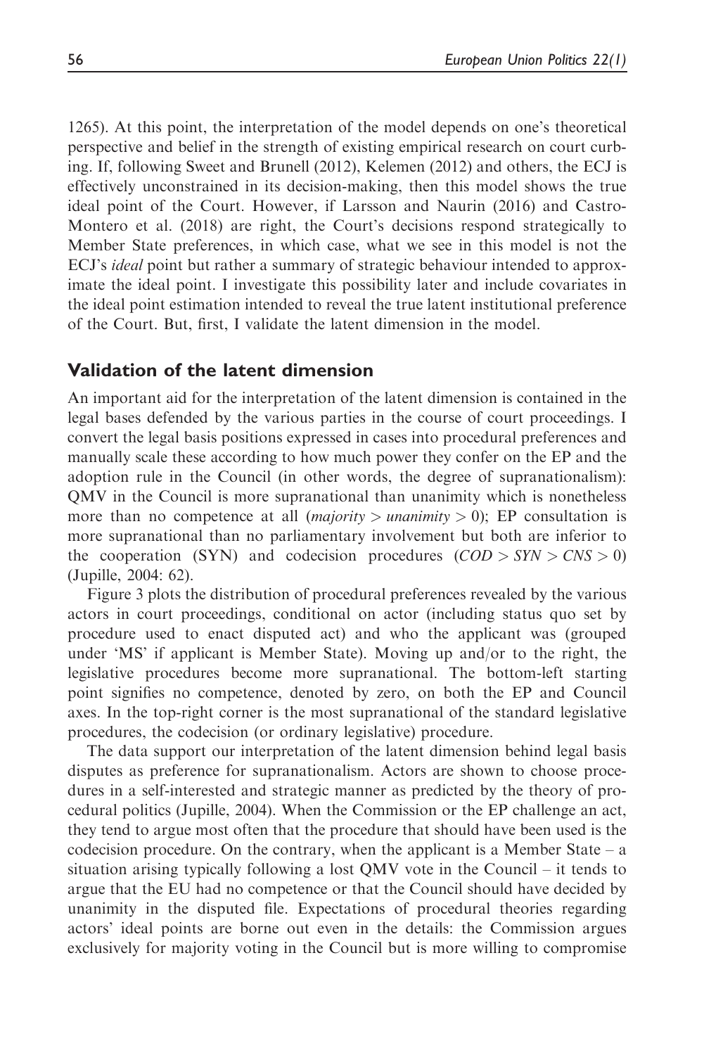1265). At this point, the interpretation of the model depends on one's theoretical perspective and belief in the strength of existing empirical research on court curbing. If, following Sweet and Brunell (2012), Kelemen (2012) and others, the ECJ is effectively unconstrained in its decision-making, then this model shows the true ideal point of the Court. However, if Larsson and Naurin (2016) and Castro-Montero et al. (2018) are right, the Court's decisions respond strategically to Member State preferences, in which case, what we see in this model is not the ECJ's *ideal* point but rather a summary of strategic behaviour intended to approximate the ideal point. I investigate this possibility later and include covariates in the ideal point estimation intended to reveal the true latent institutional preference of the Court. But, first, I validate the latent dimension in the model.

### Validation of the latent dimension

An important aid for the interpretation of the latent dimension is contained in the legal bases defended by the various parties in the course of court proceedings. I convert the legal basis positions expressed in cases into procedural preferences and manually scale these according to how much power they confer on the EP and the adoption rule in the Council (in other words, the degree of supranationalism): QMV in the Council is more supranational than unanimity which is nonetheless more than no competence at all (*majority > unanimity >* 0); EP consultation is more supranational than no parliamentary involvement but both are inferior to the cooperation (SYN) and codecision procedures  $(COD > SYN > CNS > 0)$ (Jupille, 2004: 62).

Figure 3 plots the distribution of procedural preferences revealed by the various actors in court proceedings, conditional on actor (including status quo set by procedure used to enact disputed act) and who the applicant was (grouped under 'MS' if applicant is Member State). Moving up and/or to the right, the legislative procedures become more supranational. The bottom-left starting point signifies no competence, denoted by zero, on both the EP and Council axes. In the top-right corner is the most supranational of the standard legislative procedures, the codecision (or ordinary legislative) procedure.

The data support our interpretation of the latent dimension behind legal basis disputes as preference for supranationalism. Actors are shown to choose procedures in a self-interested and strategic manner as predicted by the theory of procedural politics (Jupille, 2004). When the Commission or the EP challenge an act, they tend to argue most often that the procedure that should have been used is the codecision procedure. On the contrary, when the applicant is a Member State – a situation arising typically following a lost QMV vote in the Council – it tends to argue that the EU had no competence or that the Council should have decided by unanimity in the disputed file. Expectations of procedural theories regarding actors' ideal points are borne out even in the details: the Commission argues exclusively for majority voting in the Council but is more willing to compromise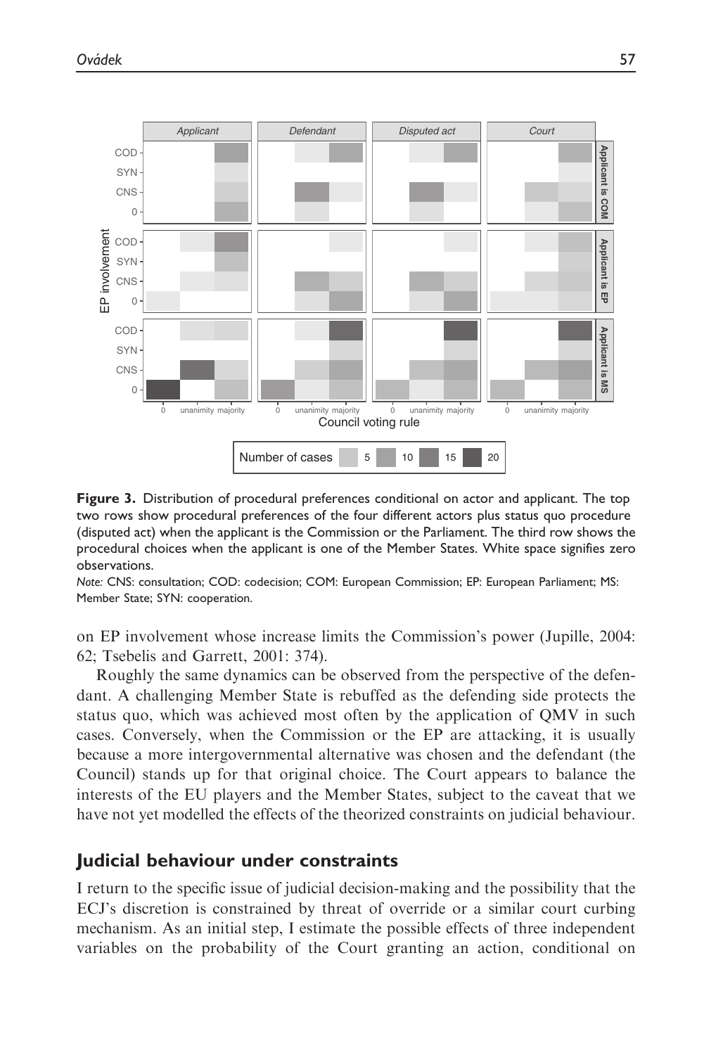

Figure 3. Distribution of procedural preferences conditional on actor and applicant. The top two rows show procedural preferences of the four different actors plus status quo procedure (disputed act) when the applicant is the Commission or the Parliament. The third row shows the procedural choices when the applicant is one of the Member States. White space signifies zero observations.

Note: CNS: consultation; COD: codecision; COM: European Commission; EP: European Parliament; MS: Member State; SYN: cooperation.

on EP involvement whose increase limits the Commission's power (Jupille, 2004: 62; Tsebelis and Garrett, 2001: 374).

Roughly the same dynamics can be observed from the perspective of the defendant. A challenging Member State is rebuffed as the defending side protects the status quo, which was achieved most often by the application of QMV in such cases. Conversely, when the Commission or the EP are attacking, it is usually because a more intergovernmental alternative was chosen and the defendant (the Council) stands up for that original choice. The Court appears to balance the interests of the EU players and the Member States, subject to the caveat that we have not yet modelled the effects of the theorized constraints on judicial behaviour.

# Judicial behaviour under constraints

I return to the specific issue of judicial decision-making and the possibility that the ECJ's discretion is constrained by threat of override or a similar court curbing mechanism. As an initial step, I estimate the possible effects of three independent variables on the probability of the Court granting an action, conditional on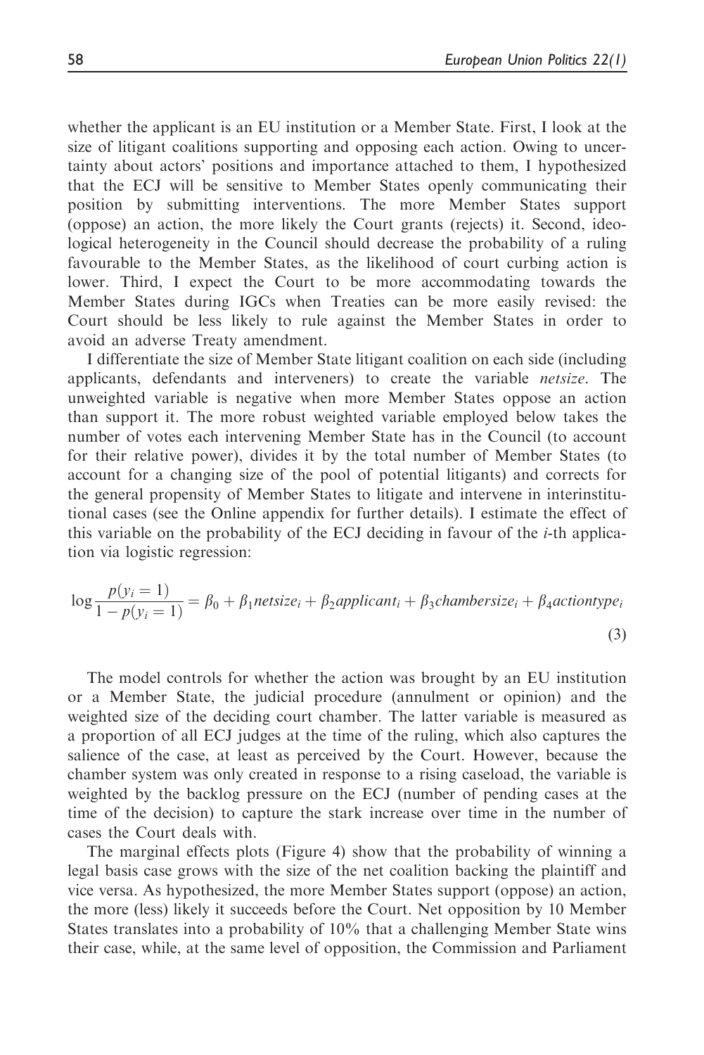whether the applicant is an EU institution or a Member State. First, I look at the size of litigant coalitions supporting and opposing each action. Owing to uncertainty about actors' positions and importance attached to them, I hypothesized that the ECJ will be sensitive to Member States openly communicating their position by submitting interventions. The more Member States support (oppose) an action, the more likely the Court grants (rejects) it. Second, ideological heterogeneity in the Council should decrease the probability of a ruling favourable to the Member States, as the likelihood of court curbing action is lower. Third, I expect the Court to be more accommodating towards the Member States during IGCs when Treaties can be more easily revised: the Court should be less likely to rule against the Member States in order to avoid an adverse Treaty amendment.

I differentiate the size of Member State litigant coalition on each side (including applicants, defendants and interveners) to create the variable netsize. The unweighted variable is negative when more Member States oppose an action than support it. The more robust weighted variable employed below takes the number of votes each intervening Member State has in the Council (to account for their relative power), divides it by the total number of Member States (to account for a changing size of the pool of potential litigants) and corrects for the general propensity of Member States to litigate and intervene in interinstitutional cases (see the Online appendix for further details). I estimate the effect of this variable on the probability of the ECJ deciding in favour of the i-th application via logistic regression:

$$
\log \frac{p(y_i = 1)}{1 - p(y_i = 1)} = \beta_0 + \beta_1 \text{netsize}_i + \beta_2 \text{application}_i + \beta_3 \text{chambersize}_i + \beta_4 \text{actiontype}_i
$$
\n(3)

The model controls for whether the action was brought by an EU institution or a Member State, the judicial procedure (annulment or opinion) and the weighted size of the deciding court chamber. The latter variable is measured as a proportion of all ECJ judges at the time of the ruling, which also captures the salience of the case, at least as perceived by the Court. However, because the chamber system was only created in response to a rising caseload, the variable is weighted by the backlog pressure on the ECJ (number of pending cases at the time of the decision) to capture the stark increase over time in the number of cases the Court deals with.

The marginal effects plots (Figure 4) show that the probability of winning a legal basis case grows with the size of the net coalition backing the plaintiff and vice versa. As hypothesized, the more Member States support (oppose) an action, the more (less) likely it succeeds before the Court. Net opposition by 10 Member States translates into a probability of 10% that a challenging Member State wins their case, while, at the same level of opposition, the Commission and Parliament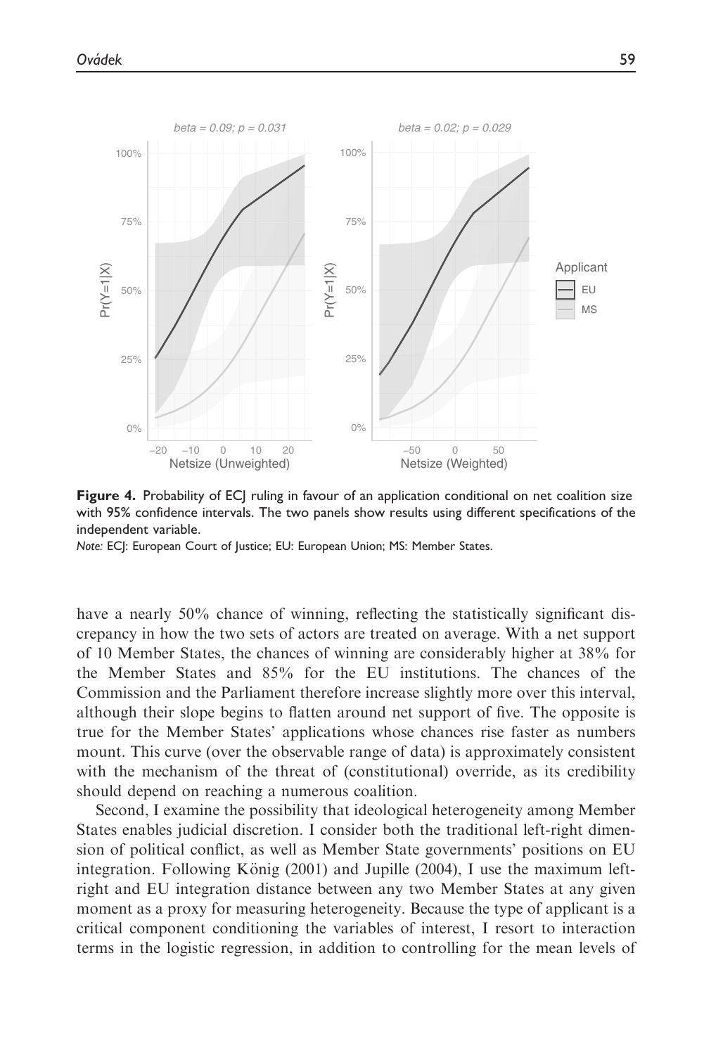

Figure 4. Probability of ECJ ruling in favour of an application conditional on net coalition size with 95% confidence intervals. The two panels show results using different specifications of the independent variable.

Note: ECJ: European Court of Justice; EU: European Union; MS: Member States.

have a nearly 50% chance of winning, reflecting the statistically significant discrepancy in how the two sets of actors are treated on average. With a net support of 10 Member States, the chances of winning are considerably higher at 38% for the Member States and 85% for the EU institutions. The chances of the Commission and the Parliament therefore increase slightly more over this interval, although their slope begins to flatten around net support of five. The opposite is true for the Member States' applications whose chances rise faster as numbers mount. This curve (over the observable range of data) is approximately consistent with the mechanism of the threat of (constitutional) override, as its credibility should depend on reaching a numerous coalition.

Second, I examine the possibility that ideological heterogeneity among Member States enables judicial discretion. I consider both the traditional left-right dimension of political conflict, as well as Member State governments' positions on EU integration. Following König (2001) and Jupille (2004), I use the maximum leftright and EU integration distance between any two Member States at any given moment as a proxy for measuring heterogeneity. Because the type of applicant is a critical component conditioning the variables of interest, I resort to interaction terms in the logistic regression, in addition to controlling for the mean levels of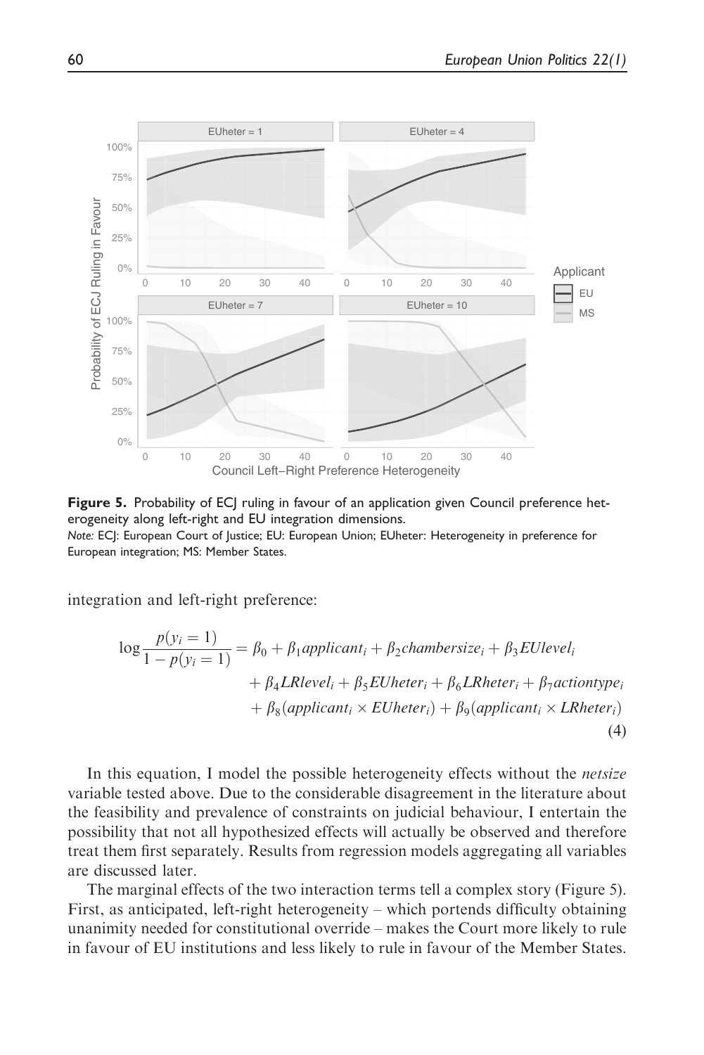



Note: ECJ: European Court of Justice; EU: European Union; EUheter: Heterogeneity in preference for European integration; MS: Member States.

integration and left-right preference:

$$
\log \frac{p(y_i = 1)}{1 - p(y_i = 1)} = \beta_0 + \beta_1 \text{application}_{t_i} + \beta_2 \text{chambersize}_{t_i} + \beta_3 \text{EUlevel}_{t_i}
$$

$$
+ \beta_4 \text{LRlevel}_{t_i} + \beta_5 \text{EU heter}_{t_i} + \beta_6 \text{LRheter}_{t_i} + \beta_7 \text{actiontype}_{t_i}
$$

$$
+ \beta_8(\text{application}_{t_i} \times \text{EU heter}_{t_i}) + \beta_9(\text{application}_{t_i} \times \text{LRheter}_{t_i})
$$
(4)

In this equation, I model the possible heterogeneity effects without the *netsize* variable tested above. Due to the considerable disagreement in the literature about the feasibility and prevalence of constraints on judicial behaviour, I entertain the possibility that not all hypothesized effects will actually be observed and therefore treat them first separately. Results from regression models aggregating all variables are discussed later.

The marginal effects of the two interaction terms tell a complex story (Figure 5). First, as anticipated, left-right heterogeneity – which portends difficulty obtaining unanimity needed for constitutional override – makes the Court more likely to rule in favour of EU institutions and less likely to rule in favour of the Member States.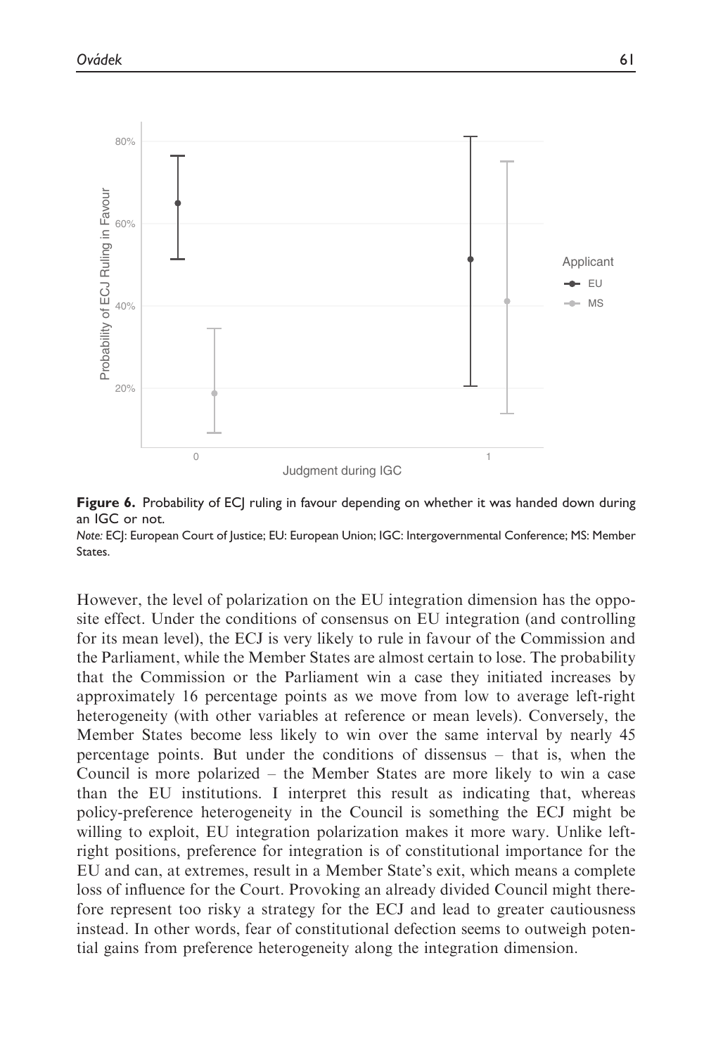

Figure 6. Probability of ECJ ruling in favour depending on whether it was handed down during an IGC or not.

Note: ECJ: European Court of Justice; EU: European Union; IGC: Intergovernmental Conference; MS: Member States.

However, the level of polarization on the EU integration dimension has the opposite effect. Under the conditions of consensus on EU integration (and controlling for its mean level), the ECJ is very likely to rule in favour of the Commission and the Parliament, while the Member States are almost certain to lose. The probability that the Commission or the Parliament win a case they initiated increases by approximately 16 percentage points as we move from low to average left-right heterogeneity (with other variables at reference or mean levels). Conversely, the Member States become less likely to win over the same interval by nearly 45 percentage points. But under the conditions of dissensus – that is, when the Council is more polarized – the Member States are more likely to win a case than the EU institutions. I interpret this result as indicating that, whereas policy-preference heterogeneity in the Council is something the ECJ might be willing to exploit, EU integration polarization makes it more wary. Unlike leftright positions, preference for integration is of constitutional importance for the EU and can, at extremes, result in a Member State's exit, which means a complete loss of influence for the Court. Provoking an already divided Council might therefore represent too risky a strategy for the ECJ and lead to greater cautiousness instead. In other words, fear of constitutional defection seems to outweigh potential gains from preference heterogeneity along the integration dimension.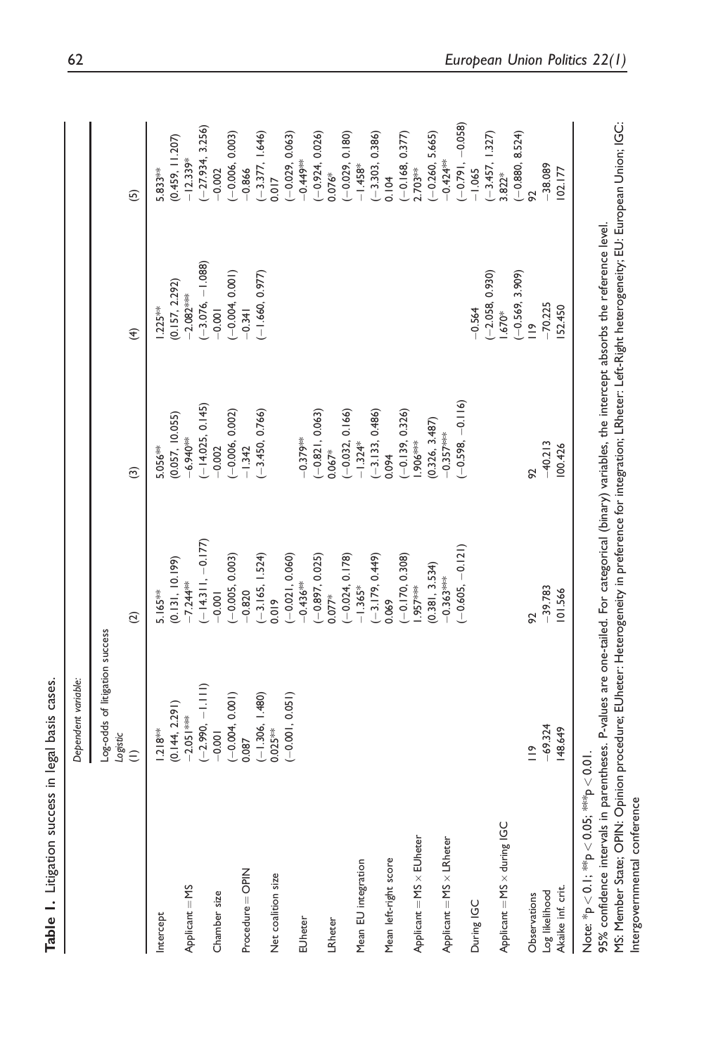|                                                                                                                                                              | Dependent variable:                        |                                                                                                                         |                               |                               |                               |
|--------------------------------------------------------------------------------------------------------------------------------------------------------------|--------------------------------------------|-------------------------------------------------------------------------------------------------------------------------|-------------------------------|-------------------------------|-------------------------------|
|                                                                                                                                                              | Log-odds of litigation success<br>Logistic |                                                                                                                         |                               |                               |                               |
|                                                                                                                                                              | $\widehat{=}$                              | $\widehat{c}$                                                                                                           | $\widehat{\mathcal{C}}$       | $\widehat{f}$                 | $\overline{5}$                |
| Intercept                                                                                                                                                    | $1.218***$                                 | 5.165 <sup>**</sup>                                                                                                     | $5.056**$                     | $1.225***$                    | 5.833**                       |
| Applicant = MS                                                                                                                                               | (0.144, 2.291)<br>$-2.051***$              | (0.131, 10.199)<br>$-7.244***$                                                                                          | (0.057, 10.055)<br>$-6.940**$ | (0.157, 2.292)<br>$-2.082***$ | (0.459, 11.207)<br>$-12.339*$ |
|                                                                                                                                                              | $(-2.990, -1.111)$                         | $(-14.311, -0.177)$                                                                                                     | $(-14.025, 0.145)$            | $-1.088$<br>$(-3.076,$        | $(-27.934, 3.256)$            |
| Chamber size                                                                                                                                                 | $-0.001$                                   | $-0.001$                                                                                                                | $-0.002$                      | $-0.001$                      | $-0.002$                      |
|                                                                                                                                                              | $(-0.004, 0.001)$                          | $(-0.005, 0.003)$                                                                                                       | $(-0.006, 0.002)$             | $(-0.004, 0.001)$             | $(-0.006, 0.003)$             |
| $Procedure = OPIN$                                                                                                                                           | 0.087                                      | $-0.820$                                                                                                                | $-1.342$                      | $-0.341$                      | $-0.866$                      |
|                                                                                                                                                              | $(-1.306, 1.480)$                          | $(-3.165, 1.524)$                                                                                                       | $(-3.450, 0.766)$             | $(-1.660, 0.977)$             | $(-3.377, 1.646)$             |
| Net coalition size                                                                                                                                           | $0.025**$                                  | 0.019                                                                                                                   |                               |                               | 0.017                         |
|                                                                                                                                                              | $(-0.001, 0.051)$                          | $(-0.021, 0.060)$                                                                                                       |                               |                               | $(-0.029, 0.063)$             |
| EUheter                                                                                                                                                      |                                            | $-0.436**$                                                                                                              | $-0.379**$                    |                               | $-0.449**$                    |
|                                                                                                                                                              |                                            | $-0.897, 0.025$                                                                                                         | $(-0.821, 0.063)$             |                               | $(-0.924, 0.026)$             |
| LRheter                                                                                                                                                      |                                            | $0.077*$                                                                                                                | $0.067*$                      |                               | $0.076*$                      |
|                                                                                                                                                              |                                            | $-0.024, 0.178$                                                                                                         | $(-0.032, 0.166)$             |                               | $(-0.029, 0.180)$             |
| Mean EU integration                                                                                                                                          |                                            | $-1.365*$                                                                                                               | $-1.324*$                     |                               | $-1.458*$                     |
|                                                                                                                                                              |                                            | $(-3.179, 0.449)$                                                                                                       | $(-3.133, 0.486)$             |                               | $(-3.303, 0.386)$             |
| Mean left-right score                                                                                                                                        |                                            | 0.069                                                                                                                   | 0.094                         |                               | 0.104                         |
|                                                                                                                                                              |                                            | $-0.170, 0.308$                                                                                                         | $(-0.139, 0.326)$             |                               | $(-0.168, 0.377)$             |
| Applicant = MS x EUheter                                                                                                                                     |                                            | $.957***$                                                                                                               | <b>1.906</b> ***              |                               | $2.703**$                     |
|                                                                                                                                                              |                                            | (0.381, 3.534)                                                                                                          | (0.326, 3.487)                |                               | $(-0.260, 5.665)$             |
| $Applicant = MS \times LRheter$                                                                                                                              |                                            | $-0.363***$                                                                                                             | $-0.357***$                   |                               | $-0.424**$                    |
|                                                                                                                                                              |                                            | $(-0.605, -0.121)$                                                                                                      | $(-0.598, -0.116)$            |                               | $(-0.791, -0.058)$            |
| During IGC                                                                                                                                                   |                                            |                                                                                                                         |                               | $-0.564$                      | $-1.065$                      |
|                                                                                                                                                              |                                            |                                                                                                                         |                               | $(-2.058, 0.930)$             | $(-3.457, 1.327)$             |
| Applicant = MS x during IGC                                                                                                                                  |                                            |                                                                                                                         |                               | 1.670*                        | 3.822*                        |
|                                                                                                                                                              |                                            |                                                                                                                         |                               | $-0.569, 3.909$               | $(-0.880, 8.524)$             |
| Observations                                                                                                                                                 | $\frac{6}{1}$                              | 92                                                                                                                      | 92                            | $\frac{6}{1}$                 | 92                            |
| Log likelihood                                                                                                                                               | $-69.324$                                  | $-39.783$                                                                                                               | $-40.213$                     | $-70.225$                     | $-38.089$                     |
| Akaike inf. crit.                                                                                                                                            | 148.649                                    | 101.566                                                                                                                 | 100.426                       | 52.450                        | 102.177                       |
| Note: $*_{\mathsf{P}} < 0.1;$ $*_{\mathsf{P}} < 0.05;$ $*_{\mathsf{exp}} > 0.01$ .                                                                           |                                            |                                                                                                                         |                               |                               |                               |
| 95% confidence intervals                                                                                                                                     |                                            | in parentheses. P-values are one-tailed. For categorical (binary) variables, the intercept absorbs the reference level. |                               |                               |                               |
| MS: Member State; OPIN: Opinion procedure; EUheter: Heterogeneity in preference for integration; LRheter: Left-Right heterogeneity; EU: European Union; IGC: |                                            |                                                                                                                         |                               |                               |                               |
| Intergovernmental conference                                                                                                                                 |                                            |                                                                                                                         |                               |                               |                               |

Table 1. Litigation success in legal basis cases.

Table 1. Litigation success in legal basis cases.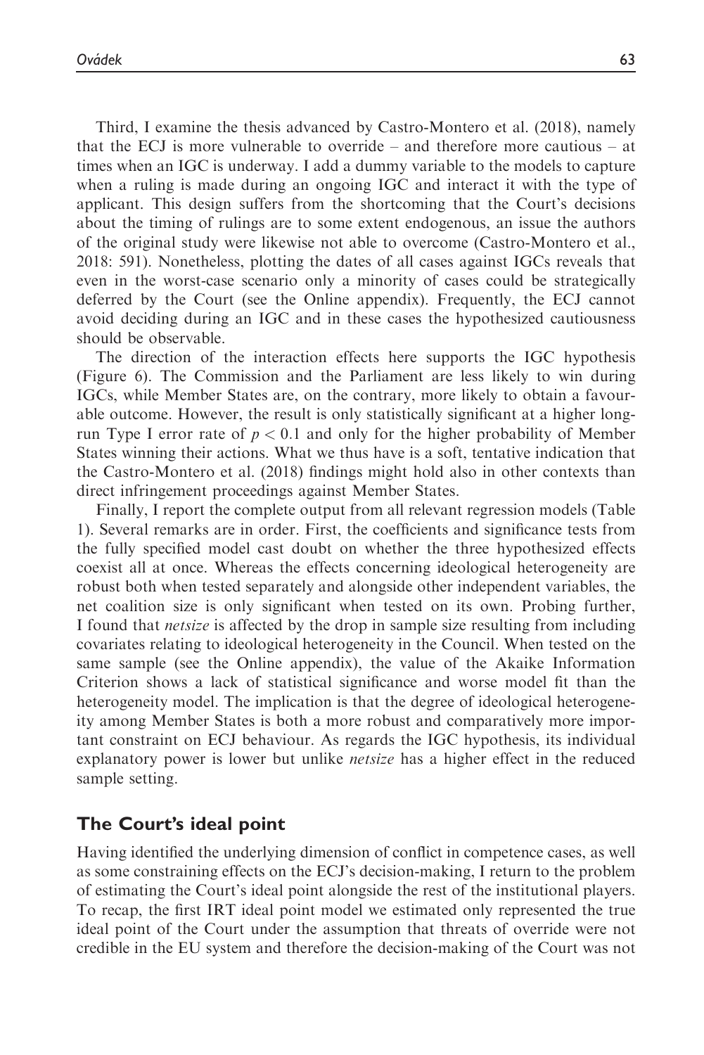Third, I examine the thesis advanced by Castro-Montero et al. (2018), namely that the ECJ is more vulnerable to override – and therefore more cautious – at times when an IGC is underway. I add a dummy variable to the models to capture when a ruling is made during an ongoing IGC and interact it with the type of applicant. This design suffers from the shortcoming that the Court's decisions about the timing of rulings are to some extent endogenous, an issue the authors of the original study were likewise not able to overcome (Castro-Montero et al., 2018: 591). Nonetheless, plotting the dates of all cases against IGCs reveals that even in the worst-case scenario only a minority of cases could be strategically deferred by the Court (see the Online appendix). Frequently, the ECJ cannot avoid deciding during an IGC and in these cases the hypothesized cautiousness should be observable.

The direction of the interaction effects here supports the IGC hypothesis (Figure 6). The Commission and the Parliament are less likely to win during IGCs, while Member States are, on the contrary, more likely to obtain a favourable outcome. However, the result is only statistically significant at a higher longrun Type I error rate of  $p < 0.1$  and only for the higher probability of Member States winning their actions. What we thus have is a soft, tentative indication that the Castro-Montero et al. (2018) findings might hold also in other contexts than direct infringement proceedings against Member States.

Finally, I report the complete output from all relevant regression models (Table 1). Several remarks are in order. First, the coefficients and significance tests from the fully specified model cast doubt on whether the three hypothesized effects coexist all at once. Whereas the effects concerning ideological heterogeneity are robust both when tested separately and alongside other independent variables, the net coalition size is only significant when tested on its own. Probing further, I found that netsize is affected by the drop in sample size resulting from including covariates relating to ideological heterogeneity in the Council. When tested on the same sample (see the Online appendix), the value of the Akaike Information Criterion shows a lack of statistical significance and worse model fit than the heterogeneity model. The implication is that the degree of ideological heterogeneity among Member States is both a more robust and comparatively more important constraint on ECJ behaviour. As regards the IGC hypothesis, its individual explanatory power is lower but unlike *netsize* has a higher effect in the reduced sample setting.

## The Court's ideal point

Having identified the underlying dimension of conflict in competence cases, as well as some constraining effects on the ECJ's decision-making, I return to the problem of estimating the Court's ideal point alongside the rest of the institutional players. To recap, the first IRT ideal point model we estimated only represented the true ideal point of the Court under the assumption that threats of override were not credible in the EU system and therefore the decision-making of the Court was not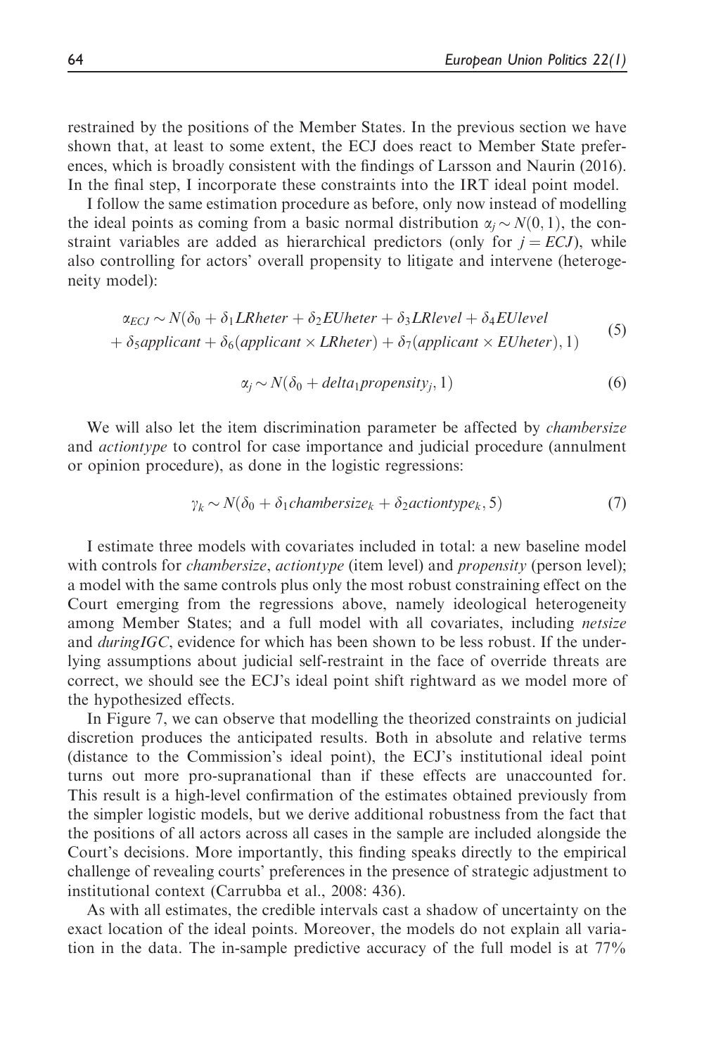restrained by the positions of the Member States. In the previous section we have shown that, at least to some extent, the ECJ does react to Member State preferences, which is broadly consistent with the findings of Larsson and Naurin (2016). In the final step, I incorporate these constraints into the IRT ideal point model.

I follow the same estimation procedure as before, only now instead of modelling the ideal points as coming from a basic normal distribution  $\alpha_i \sim N(0, 1)$ , the constraint variables are added as hierarchical predictors (only for  $j = ECJ$ ), while also controlling for actors' overall propensity to litigate and intervene (heterogeneity model):

$$
\alpha_{ECJ} \sim N(\delta_0 + \delta_1 LRheter + \delta_2 EUheter + \delta_3 LRlevel + \delta_4 EUlevel + \delta_5 applicationt + \delta_6 (application \times LRheter) + \delta_7 (application \times EUheter), 1)
$$
 (5)

$$
\alpha_j \sim N(\delta_0 + delta_1 \text{propensity}_j, 1) \tag{6}
$$

We will also let the item discrimination parameter be affected by *chambersize* and *actiontype* to control for case importance and judicial procedure (annulment or opinion procedure), as done in the logistic regressions:

$$
\gamma_k \sim N(\delta_0 + \delta_1 \text{chamber size}_k + \delta_2 \text{action type}_k, 5) \tag{7}
$$

I estimate three models with covariates included in total: a new baseline model with controls for *chambersize*, *actiontype* (item level) and *propensity* (person level); a model with the same controls plus only the most robust constraining effect on the Court emerging from the regressions above, namely ideological heterogeneity among Member States; and a full model with all covariates, including *netsize* and  $duringIGC$ , evidence for which has been shown to be less robust. If the underlying assumptions about judicial self-restraint in the face of override threats are correct, we should see the ECJ's ideal point shift rightward as we model more of the hypothesized effects.

In Figure 7, we can observe that modelling the theorized constraints on judicial discretion produces the anticipated results. Both in absolute and relative terms (distance to the Commission's ideal point), the ECJ's institutional ideal point turns out more pro-supranational than if these effects are unaccounted for. This result is a high-level confirmation of the estimates obtained previously from the simpler logistic models, but we derive additional robustness from the fact that the positions of all actors across all cases in the sample are included alongside the Court's decisions. More importantly, this finding speaks directly to the empirical challenge of revealing courts' preferences in the presence of strategic adjustment to institutional context (Carrubba et al., 2008: 436).

As with all estimates, the credible intervals cast a shadow of uncertainty on the exact location of the ideal points. Moreover, the models do not explain all variation in the data. The in-sample predictive accuracy of the full model is at 77%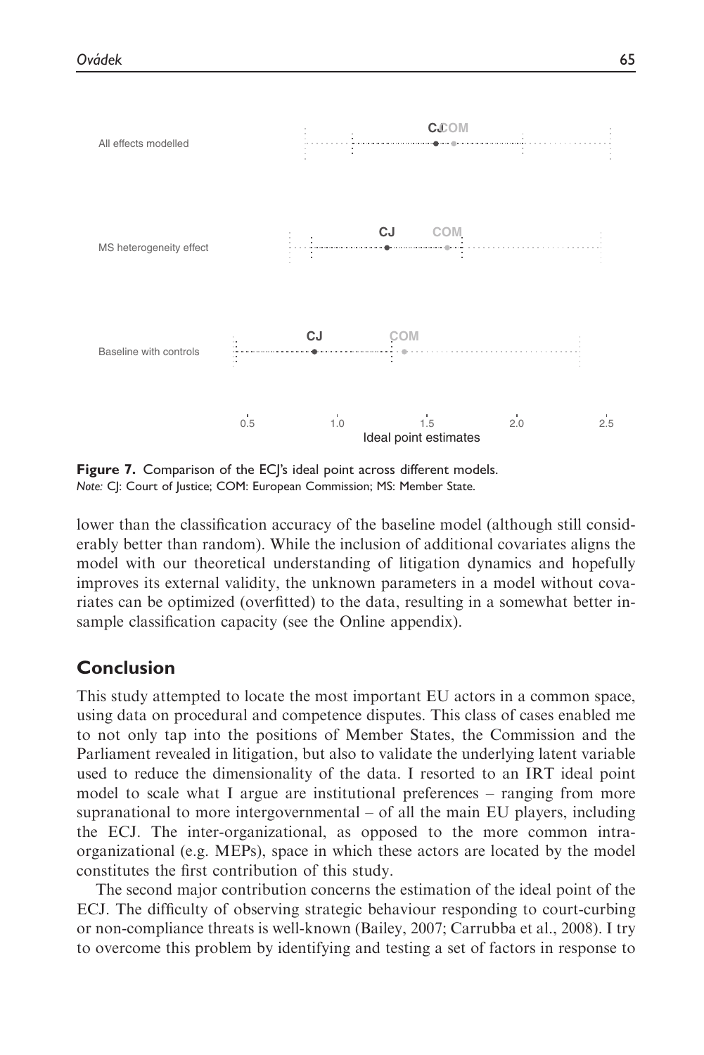

**Figure 7.** Comparison of the ECI's ideal point across different models. Note: CJ: Court of Justice; COM: European Commission; MS: Member State.

lower than the classification accuracy of the baseline model (although still considerably better than random). While the inclusion of additional covariates aligns the model with our theoretical understanding of litigation dynamics and hopefully improves its external validity, the unknown parameters in a model without covariates can be optimized (overfitted) to the data, resulting in a somewhat better insample classification capacity (see the Online appendix).

# Conclusion

This study attempted to locate the most important EU actors in a common space, using data on procedural and competence disputes. This class of cases enabled me to not only tap into the positions of Member States, the Commission and the Parliament revealed in litigation, but also to validate the underlying latent variable used to reduce the dimensionality of the data. I resorted to an IRT ideal point model to scale what I argue are institutional preferences – ranging from more supranational to more intergovernmental – of all the main EU players, including the ECJ. The inter-organizational, as opposed to the more common intraorganizational (e.g. MEPs), space in which these actors are located by the model constitutes the first contribution of this study.

The second major contribution concerns the estimation of the ideal point of the ECJ. The difficulty of observing strategic behaviour responding to court-curbing or non-compliance threats is well-known (Bailey, 2007; Carrubba et al., 2008). I try to overcome this problem by identifying and testing a set of factors in response to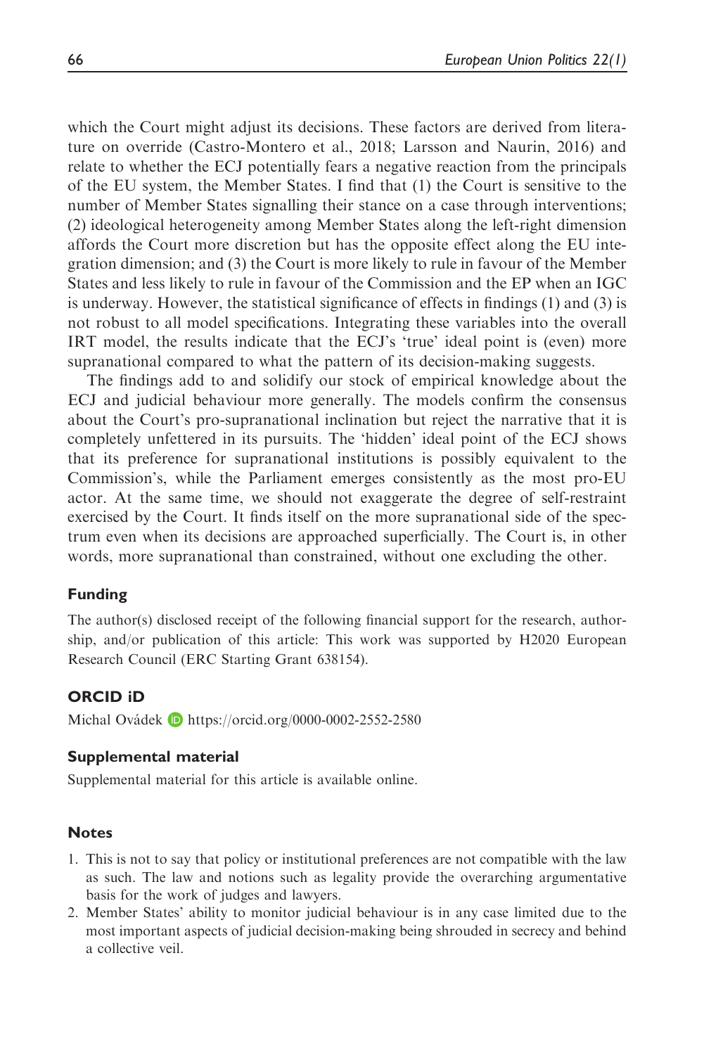which the Court might adjust its decisions. These factors are derived from literature on override (Castro-Montero et al., 2018; Larsson and Naurin, 2016) and relate to whether the ECJ potentially fears a negative reaction from the principals of the EU system, the Member States. I find that (1) the Court is sensitive to the number of Member States signalling their stance on a case through interventions; (2) ideological heterogeneity among Member States along the left-right dimension affords the Court more discretion but has the opposite effect along the EU integration dimension; and (3) the Court is more likely to rule in favour of the Member States and less likely to rule in favour of the Commission and the EP when an IGC is underway. However, the statistical significance of effects in findings (1) and (3) is not robust to all model specifications. Integrating these variables into the overall IRT model, the results indicate that the ECJ's 'true' ideal point is (even) more supranational compared to what the pattern of its decision-making suggests.

The findings add to and solidify our stock of empirical knowledge about the ECJ and judicial behaviour more generally. The models confirm the consensus about the Court's pro-supranational inclination but reject the narrative that it is completely unfettered in its pursuits. The 'hidden' ideal point of the ECJ shows that its preference for supranational institutions is possibly equivalent to the Commission's, while the Parliament emerges consistently as the most pro-EU actor. At the same time, we should not exaggerate the degree of self-restraint exercised by the Court. It finds itself on the more supranational side of the spectrum even when its decisions are approached superficially. The Court is, in other words, more supranational than constrained, without one excluding the other.

#### Funding

The author(s) disclosed receipt of the following financial support for the research, authorship, and/or publication of this article: This work was supported by H2020 European Research Council (ERC Starting Grant 638154).

### ORCID iD

Michal Ovádek  $\blacksquare$  <https://orcid.org/0000-0002-2552-2580>

#### Supplemental material

Supplemental material for this article is available online.

#### **Notes**

- 1. This is not to say that policy or institutional preferences are not compatible with the law as such. The law and notions such as legality provide the overarching argumentative basis for the work of judges and lawyers.
- 2. Member States' ability to monitor judicial behaviour is in any case limited due to the most important aspects of judicial decision-making being shrouded in secrecy and behind a collective veil.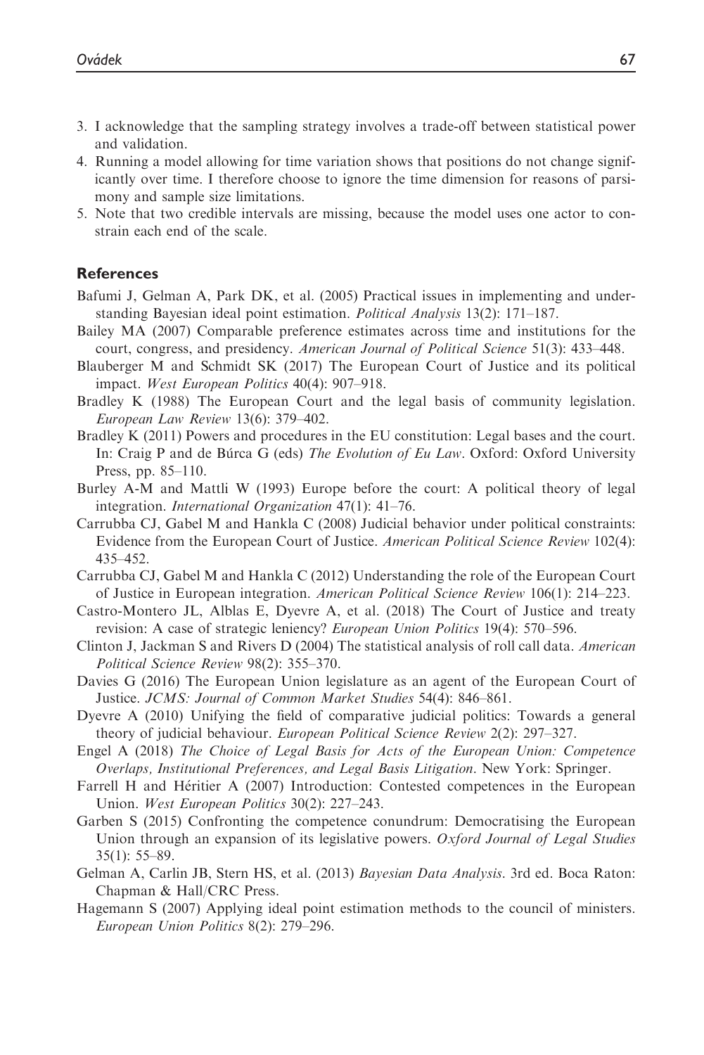- 3. I acknowledge that the sampling strategy involves a trade-off between statistical power and validation.
- 4. Running a model allowing for time variation shows that positions do not change significantly over time. I therefore choose to ignore the time dimension for reasons of parsimony and sample size limitations.
- 5. Note that two credible intervals are missing, because the model uses one actor to constrain each end of the scale.

#### **References**

- Bafumi J, Gelman A, Park DK, et al. (2005) Practical issues in implementing and understanding Bayesian ideal point estimation. Political Analysis 13(2): 171–187.
- Bailey MA (2007) Comparable preference estimates across time and institutions for the court, congress, and presidency. American Journal of Political Science 51(3): 433–448.
- Blauberger M and Schmidt SK (2017) The European Court of Justice and its political impact. West European Politics 40(4): 907–918.
- Bradley K (1988) The European Court and the legal basis of community legislation. European Law Review 13(6): 379–402.
- Bradley K (2011) Powers and procedures in the EU constitution: Legal bases and the court. In: Craig P and de Búrca G (eds) The Evolution of Eu Law. Oxford: Oxford University Press, pp. 85–110.
- Burley A-M and Mattli W (1993) Europe before the court: A political theory of legal integration. International Organization 47(1): 41–76.
- Carrubba CJ, Gabel M and Hankla C (2008) Judicial behavior under political constraints: Evidence from the European Court of Justice. American Political Science Review 102(4): 435–452.
- Carrubba CJ, Gabel M and Hankla C (2012) Understanding the role of the European Court of Justice in European integration. American Political Science Review 106(1): 214–223.
- Castro-Montero JL, Alblas E, Dyevre A, et al. (2018) The Court of Justice and treaty revision: A case of strategic leniency? *European Union Politics* 19(4): 570–596.
- Clinton J, Jackman S and Rivers D (2004) The statistical analysis of roll call data. American Political Science Review 98(2): 355–370.
- Davies G (2016) The European Union legislature as an agent of the European Court of Justice. JCMS: Journal of Common Market Studies 54(4): 846–861.
- Dyevre A (2010) Unifying the field of comparative judicial politics: Towards a general theory of judicial behaviour. European Political Science Review 2(2): 297–327.
- Engel A (2018) The Choice of Legal Basis for Acts of the European Union: Competence Overlaps, Institutional Preferences, and Legal Basis Litigation. New York: Springer.
- Farrell H and Heritier A (2007) Introduction: Contested competences in the European Union. West European Politics 30(2): 227–243.
- Garben S (2015) Confronting the competence conundrum: Democratising the European Union through an expansion of its legislative powers. Oxford Journal of Legal Studies 35(1): 55–89.
- Gelman A, Carlin JB, Stern HS, et al. (2013) Bayesian Data Analysis. 3rd ed. Boca Raton: Chapman & Hall/CRC Press.
- Hagemann S (2007) Applying ideal point estimation methods to the council of ministers. European Union Politics 8(2): 279–296.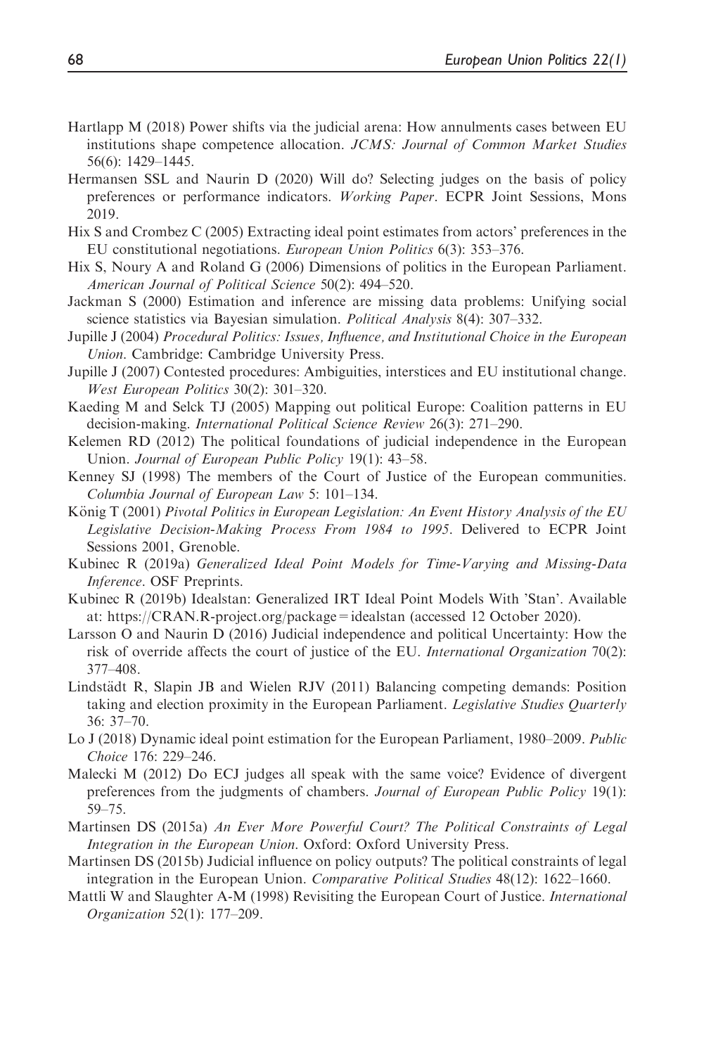- Hartlapp M (2018) Power shifts via the judicial arena: How annulments cases between EU institutions shape competence allocation. JCMS: Journal of Common Market Studies 56(6): 1429–1445.
- Hermansen SSL and Naurin D (2020) Will do? Selecting judges on the basis of policy preferences or performance indicators. Working Paper. ECPR Joint Sessions, Mons 2019.
- Hix S and Crombez C (2005) Extracting ideal point estimates from actors' preferences in the EU constitutional negotiations. European Union Politics 6(3): 353–376.
- Hix S, Noury A and Roland G (2006) Dimensions of politics in the European Parliament. American Journal of Political Science 50(2): 494–520.
- Jackman S (2000) Estimation and inference are missing data problems: Unifying social science statistics via Bayesian simulation. Political Analysis 8(4): 307–332.
- Jupille J (2004) Procedural Politics: Issues, Influence, and Institutional Choice in the European Union. Cambridge: Cambridge University Press.
- Jupille J (2007) Contested procedures: Ambiguities, interstices and EU institutional change. West European Politics 30(2): 301–320.
- Kaeding M and Selck TJ (2005) Mapping out political Europe: Coalition patterns in EU decision-making. International Political Science Review 26(3): 271–290.
- Kelemen RD (2012) The political foundations of judicial independence in the European Union. Journal of European Public Policy 19(1): 43–58.
- Kenney SJ (1998) The members of the Court of Justice of the European communities. Columbia Journal of European Law 5: 101–134.
- König T (2001) Pivotal Politics in European Legislation: An Event History Analysis of the EU Legislative Decision-Making Process From 1984 to 1995. Delivered to ECPR Joint Sessions 2001, Grenoble.
- Kubinec R (2019a) Generalized Ideal Point Models for Time-Varying and Missing-Data Inference. OSF Preprints.
- Kubinec R (2019b) Idealstan: Generalized IRT Ideal Point Models With 'Stan'. Available at:<https://CRAN.R-project.org/package=idealstan> (accessed 12 October 2020).
- Larsson O and Naurin D (2016) Judicial independence and political Uncertainty: How the risk of override affects the court of justice of the EU. *International Organization* 70(2): 377–408.
- Lindstädt R, Slapin JB and Wielen RJV (2011) Balancing competing demands: Position taking and election proximity in the European Parliament. Legislative Studies Quarterly 36: 37–70.
- Lo J (2018) Dynamic ideal point estimation for the European Parliament, 1980–2009. Public Choice 176: 229–246.
- Malecki M (2012) Do ECJ judges all speak with the same voice? Evidence of divergent preferences from the judgments of chambers. Journal of European Public Policy 19(1): 59–75.
- Martinsen DS (2015a) An Ever More Powerful Court? The Political Constraints of Legal Integration in the European Union. Oxford: Oxford University Press.
- Martinsen DS (2015b) Judicial influence on policy outputs? The political constraints of legal integration in the European Union. Comparative Political Studies 48(12): 1622–1660.
- Mattli W and Slaughter A-M (1998) Revisiting the European Court of Justice. International Organization 52(1): 177–209.